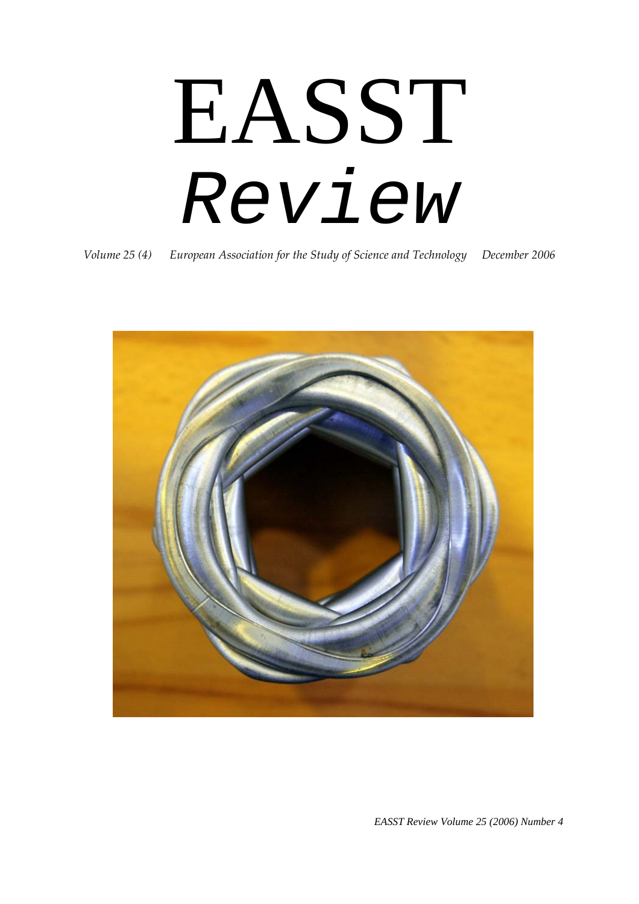EASST *Review* 

*Volume 25 (4) European Association for the Study of Science and Technology December 2006*



*EASST Review Volume 25 (2006) Number 4*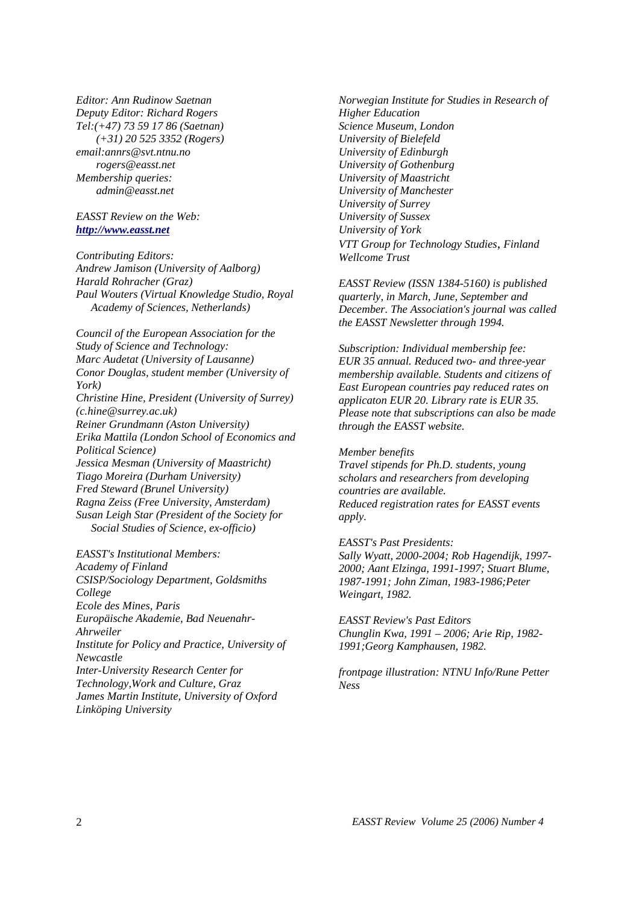*Editor: Ann Rudinow Saetnan Deputy Editor: Richard Rogers Tel:(+47) 73 59 17 86 (Saetnan) (+31) 20 525 3352 (Rogers) email:annrs@svt.ntnu.no rogers@easst.net Membership queries: admin@easst.net* 

#### *EASST Review on the Web: [http://www.easst.net](http://www.easst.net/)*

*Contributing Editors: Andrew Jamison (University of Aalborg) Harald Rohracher (Graz) Paul Wouters (Virtual Knowledge Studio, Royal Academy of Sciences, Netherlands)* 

*Council of the European Association for the Study of Science and Technology: Marc Audetat (University of Lausanne) Conor Douglas, student member (University of York) Christine Hine, President (University of Surrey) (c.hine@surrey.ac.uk) Reiner Grundmann (Aston University) Erika Mattila (London School of Economics and Political Science) Jessica Mesman (University of Maastricht) Tiago Moreira (Durham University) Fred Steward (Brunel University) Ragna Zeiss (Free University, Amsterdam) Susan Leigh Star (President of the Society for Social Studies of Science, ex-officio)* 

*EASST's Institutional Members: Academy of Finland CSISP/Sociology Department, Goldsmiths College Ecole des Mines, Paris Europäische Akademie, Bad Neuenahr-Ahrweiler Institute for Policy and Practice, University of Newcastle Inter-University Research Center for Technology,Work and Culture, Graz James Martin Institute, University of Oxford Linköping University* 

*Norwegian Institute for Studies in Research of Higher Education Science Museum, London University of Bielefeld University of Edinburgh University of Gothenburg University of Maastricht University of Manchester University of Surrey University of Sussex University of York VTT Group for Technology Studies, Finland Wellcome Trust* 

*EASST Review (ISSN 1384-5160) is published quarterly, in March, June, September and December. The Association's journal was called the EASST Newsletter through 1994.* 

*Subscription: Individual membership fee: EUR 35 annual. Reduced two- and three-year membership available. Students and citizens of East European countries pay reduced rates on applicaton EUR 20. Library rate is EUR 35. Please note that subscriptions can also be made through the EASST website.* 

#### *Member benefits*

*Travel stipends for Ph.D. students, young scholars and researchers from developing countries are available. Reduced registration rates for EASST events apply.* 

*EASST's Past Presidents: Sally Wyatt, 2000-2004; Rob Hagendijk, 1997- 2000; Aant Elzinga, 1991-1997; Stuart Blume, 1987-1991; John Ziman, 1983-1986;Peter Weingart, 1982.* 

*EASST Review's Past Editors Chunglin Kwa, 1991 – 2006; Arie Rip, 1982- 1991;Georg Kamphausen, 1982.* 

*frontpage illustration: NTNU Info/Rune Petter Ness*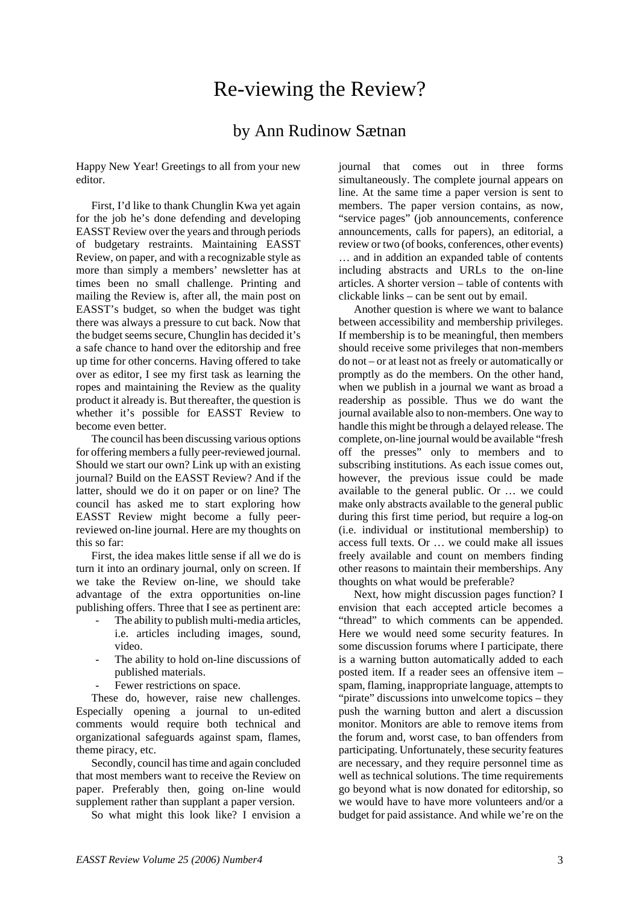## Re-viewing the Review?

### by Ann Rudinow Sætnan

Happy New Year! Greetings to all from your new editor.

First, I'd like to thank Chunglin Kwa yet again for the job he's done defending and developing EASST Review over the years and through periods of budgetary restraints. Maintaining EASST Review, on paper, and with a recognizable style as more than simply a members' newsletter has at times been no small challenge. Printing and mailing the Review is, after all, the main post on EASST's budget, so when the budget was tight there was always a pressure to cut back. Now that the budget seems secure, Chunglin has decided it's a safe chance to hand over the editorship and free up time for other concerns. Having offered to take over as editor, I see my first task as learning the ropes and maintaining the Review as the quality product it already is. But thereafter, the question is whether it's possible for EASST Review to become even better.

The council has been discussing various options for offering members a fully peer-reviewed journal. Should we start our own? Link up with an existing journal? Build on the EASST Review? And if the latter, should we do it on paper or on line? The council has asked me to start exploring how EASST Review might become a fully peerreviewed on-line journal. Here are my thoughts on this so far:

First, the idea makes little sense if all we do is turn it into an ordinary journal, only on screen. If we take the Review on-line, we should take advantage of the extra opportunities on-line publishing offers. Three that I see as pertinent are:

- The ability to publish multi-media articles, i.e. articles including images, sound, video.
- The ability to hold on-line discussions of published materials.
- Fewer restrictions on space.

These do, however, raise new challenges. Especially opening a journal to un-edited comments would require both technical and organizational safeguards against spam, flames, theme piracy, etc.

Secondly, council has time and again concluded that most members want to receive the Review on paper. Preferably then, going on-line would supplement rather than supplant a paper version.

So what might this look like? I envision a

journal that comes out in three forms simultaneously. The complete journal appears on line. At the same time a paper version is sent to members. The paper version contains, as now, "service pages" (job announcements, conference announcements, calls for papers), an editorial, a review or two (of books, conferences, other events) … and in addition an expanded table of contents including abstracts and URLs to the on-line articles. A shorter version – table of contents with clickable links – can be sent out by email.

Another question is where we want to balance between accessibility and membership privileges. If membership is to be meaningful, then members should receive some privileges that non-members do not – or at least not as freely or automatically or promptly as do the members. On the other hand, when we publish in a journal we want as broad a readership as possible. Thus we do want the journal available also to non-members. One way to handle this might be through a delayed release. The complete, on-line journal would be available "fresh off the presses" only to members and to subscribing institutions. As each issue comes out, however, the previous issue could be made available to the general public. Or … we could make only abstracts available to the general public during this first time period, but require a log-on (i.e. individual or institutional membership) to access full texts. Or … we could make all issues freely available and count on members finding other reasons to maintain their memberships. Any thoughts on what would be preferable?

Next, how might discussion pages function? I envision that each accepted article becomes a "thread" to which comments can be appended. Here we would need some security features. In some discussion forums where I participate, there is a warning button automatically added to each posted item. If a reader sees an offensive item – spam, flaming, inappropriate language, attempts to "pirate" discussions into unwelcome topics – they push the warning button and alert a discussion monitor. Monitors are able to remove items from the forum and, worst case, to ban offenders from participating. Unfortunately, these security features are necessary, and they require personnel time as well as technical solutions. The time requirements go beyond what is now donated for editorship, so we would have to have more volunteers and/or a budget for paid assistance. And while we're on the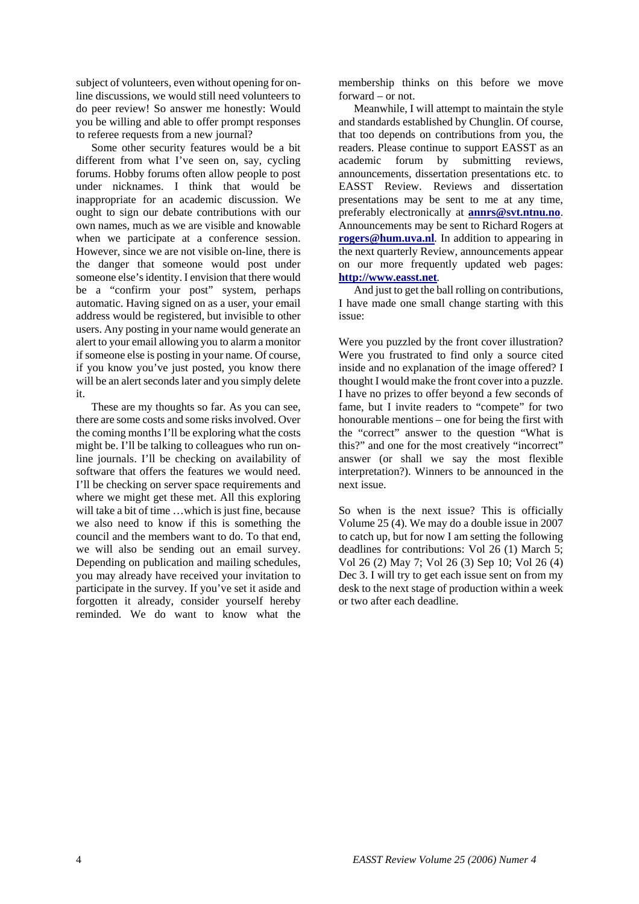subject of volunteers, even without opening for online discussions, we would still need volunteers to do peer review! So answer me honestly: Would you be willing and able to offer prompt responses to referee requests from a new journal?

Some other security features would be a bit different from what I've seen on, say, cycling forums. Hobby forums often allow people to post under nicknames. I think that would be inappropriate for an academic discussion. We ought to sign our debate contributions with our own names, much as we are visible and knowable when we participate at a conference session. However, since we are not visible on-line, there is the danger that someone would post under someone else's identity. I envision that there would be a "confirm your post" system, perhaps automatic. Having signed on as a user, your email address would be registered, but invisible to other users. Any posting in your name would generate an alert to your email allowing you to alarm a monitor if someone else is posting in your name. Of course, if you know you've just posted, you know there will be an alert seconds later and you simply delete it.

These are my thoughts so far. As you can see, there are some costs and some risks involved. Over the coming months I'll be exploring what the costs might be. I'll be talking to colleagues who run online journals. I'll be checking on availability of software that offers the features we would need. I'll be checking on server space requirements and where we might get these met. All this exploring will take a bit of time ...which is just fine, because we also need to know if this is something the council and the members want to do. To that end, we will also be sending out an email survey. Depending on publication and mailing schedules, you may already have received your invitation to participate in the survey. If you've set it aside and forgotten it already, consider yourself hereby reminded. We do want to know what the

membership thinks on this before we move forward – or not.

Meanwhile, I will attempt to maintain the style and standards established by Chunglin. Of course, that too depends on contributions from you, the readers. Please continue to support EASST as an academic forum by submitting reviews, announcements, dissertation presentations etc. to EASST Review. Reviews and dissertation presentations may be sent to me at any time, preferably electronically at **[annrs@svt.ntnu.no](mailto:annrs@svt.ntnu.no)**. Announcements may be sent to Richard Rogers at **[rogers@hum.uva.nl](mailto:rogers@hum.uva.nl)***.* In addition to appearing in the next quarterly Review, announcements appear on our more frequently updated web pages: **[http://www.easst.net](http://www.easst.net/)***.* 

And just to get the ball rolling on contributions, I have made one small change starting with this issue:

Were you puzzled by the front cover illustration? Were you frustrated to find only a source cited inside and no explanation of the image offered? I thought I would make the front cover into a puzzle. I have no prizes to offer beyond a few seconds of fame, but I invite readers to "compete" for two honourable mentions – one for being the first with the "correct" answer to the question "What is this?" and one for the most creatively "incorrect" answer (or shall we say the most flexible interpretation?). Winners to be announced in the next issue.

So when is the next issue? This is officially Volume 25 (4). We may do a double issue in 2007 to catch up, but for now I am setting the following deadlines for contributions: Vol 26 (1) March 5; Vol 26 (2) May 7; Vol 26 (3) Sep 10; Vol 26 (4) Dec 3. I will try to get each issue sent on from my desk to the next stage of production within a week or two after each deadline.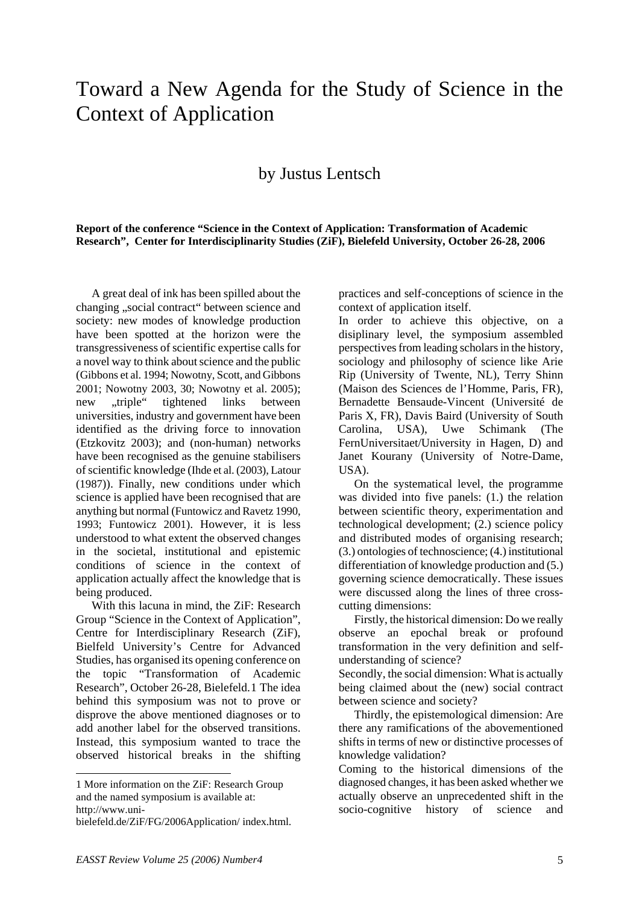# Toward a New Agenda for the Study of Science in the Context of Application

## by Justus Lentsch

#### **Report of the conference "Science in the Context of Application: Transformation of Academic Research", Center for Interdisciplinarity Studies (ZiF), Bielefeld University, October 26-28, 2006**

 A great deal of ink has been spilled about the changing ..social contract" between science and society: new modes of knowledge production have been spotted at the horizon were the transgressiveness of scientific expertise calls for a novel way to think about science and the public (Gibbons et al. 1994; Nowotny, Scott, and Gibbons 2001; Nowotny 2003, 30; Nowotny et al. 2005); new "triple" tightened links between universities, industry and government have been identified as the driving force to innovation (Etzkovitz 2003); and (non-human) networks have been recognised as the genuine stabilisers of scientific knowledge (Ihde et al. (2003), Latour (1987)). Finally, new conditions under which science is applied have been recognised that are anything but normal (Funtowicz and Ravetz 1990, 1993; Funtowicz 2001). However, it is less understood to what extent the observed changes in the societal, institutional and epistemic conditions of science in the context of application actually affect the knowledge that is being produced.

 With this lacuna in mind, the ZiF: Research Group "Science in the Context of Application", Centre for Interdisciplinary Research (ZiF), Bielfeld University's Centre for Advanced Studies, has organised its opening conference on the topic "Transformation of Academic Research", October 26-28, Bielefeld.[1](#page-4-0) The idea behind this symposium was not to prove or disprove the above mentioned diagnoses or to add another label for the observed transitions. Instead, this symposium wanted to trace the observed historical breaks in the shifting

1

practices and self-conceptions of science in the context of application itself.

In order to achieve this objective, on a disiplinary level, the symposium assembled perspectives from leading scholars in the history, sociology and philosophy of science like Arie Rip (University of Twente, NL), Terry Shinn (Maison des Sciences de l'Homme, Paris, FR), Bernadette Bensaude-Vincent (Université de Paris X, FR), Davis Baird (University of South Carolina, USA), Uwe Schimank (The FernUniversitaet/University in Hagen, D) and Janet Kourany (University of Notre-Dame, USA).

 On the systematical level, the programme was divided into five panels: (1.) the relation between scientific theory, experimentation and technological development; (2.) science policy and distributed modes of organising research; (3.) ontologies of technoscience; (4.) institutional differentiation of knowledge production and (5.) governing science democratically. These issues were discussed along the lines of three crosscutting dimensions:

 Firstly, the historical dimension: Do we really observe an epochal break or profound transformation in the very definition and selfunderstanding of science?

Secondly, the social dimension: What is actually being claimed about the (new) social contract between science and society?

 Thirdly, the epistemological dimension: Are there any ramifications of the abovementioned shifts in terms of new or distinctive processes of knowledge validation?

Coming to the historical dimensions of the diagnosed changes, it has been asked whether we actually observe an unprecedented shift in the socio-cognitive history of science and

<span id="page-4-0"></span><sup>1</sup> More information on the ZiF: Research Group and the named symposium is available at: http://www.uni-

bielefeld.de/ZiF/FG/2006Application/ index.html.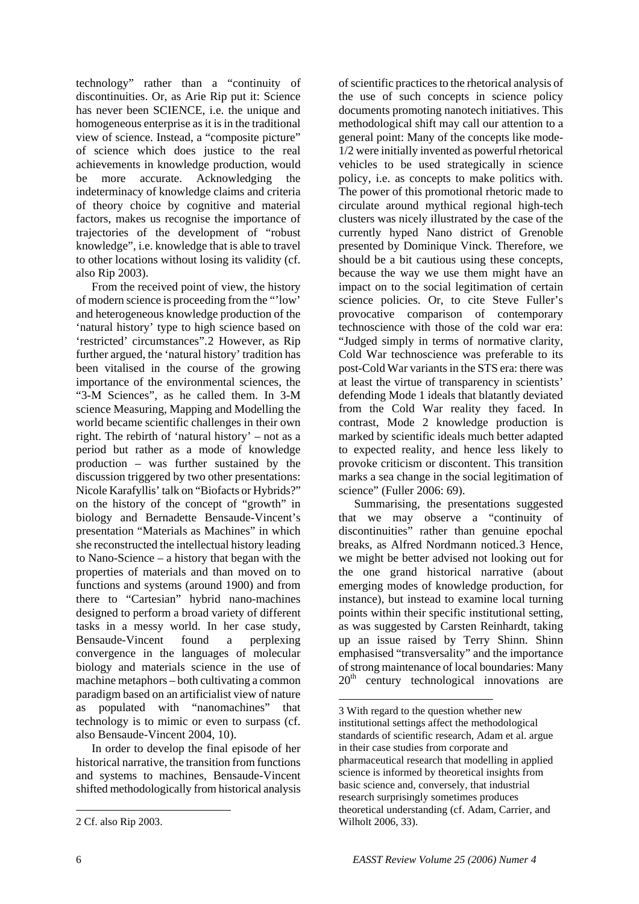technology" rather than a "continuity of discontinuities. Or, as Arie Rip put it: Science has never been SCIENCE, i.e. the unique and homogeneous enterprise as it is in the traditional view of science. Instead, a "composite picture" of science which does justice to the real achievements in knowledge production, would be more accurate. Acknowledging the indeterminacy of knowledge claims and criteria of theory choice by cognitive and material factors, makes us recognise the importance of trajectories of the development of "robust knowledge", i.e. knowledge that is able to travel to other locations without losing its validity (cf. also Rip 2003).

 From the received point of view, the history of modern science is proceeding from the "'low' and heterogeneous knowledge production of the 'natural history' type to high science based on 'restricted' circumstances".[2](#page-5-0) However, as Rip further argued, the 'natural history' tradition has been vitalised in the course of the growing importance of the environmental sciences, the "3-M Sciences", as he called them. In 3-M science Measuring, Mapping and Modelling the world became scientific challenges in their own right. The rebirth of 'natural history' – not as a period but rather as a mode of knowledge production – was further sustained by the discussion triggered by two other presentations: Nicole Karafyllis' talk on "Biofacts or Hybrids?" on the history of the concept of "growth" in biology and Bernadette Bensaude-Vincent's presentation "Materials as Machines" in which she reconstructed the intellectual history leading to Nano-Science – a history that began with the properties of materials and than moved on to functions and systems (around 1900) and from there to "Cartesian" hybrid nano-machines designed to perform a broad variety of different tasks in a messy world. In her case study, Bensaude-Vincent found a perplexing convergence in the languages of molecular biology and materials science in the use of machine metaphors – both cultivating a common paradigm based on an artificialist view of nature as populated with "nanomachines" that technology is to mimic or even to surpass (cf. also Bensaude-Vincent 2004, 10).

<span id="page-5-1"></span> In order to develop the final episode of her historical narrative, the transition from functions and systems to machines, Bensaude-Vincent shifted methodologically from historical analysis

of scientific practices to the rhetorical analysis of the use of such concepts in science policy documents promoting nanotech initiatives. This methodological shift may call our attention to a general point: Many of the concepts like mode-1/2 were initially invented as powerful rhetorical vehicles to be used strategically in science policy, i.e. as concepts to make politics with. The power of this promotional rhetoric made to circulate around mythical regional high-tech clusters was nicely illustrated by the case of the currently hyped Nano district of Grenoble presented by Dominique Vinck*.* Therefore, we should be a bit cautious using these concepts, because the way we use them might have an impact on to the social legitimation of certain science policies. Or, to cite Steve Fuller's provocative comparison of contemporary technoscience with those of the cold war era: "Judged simply in terms of normative clarity, Cold War technoscience was preferable to its post-Cold War variants in the STS era: there was at least the virtue of transparency in scientists' defending Mode 1 ideals that blatantly deviated from the Cold War reality they faced. In contrast, Mode 2 knowledge production is marked by scientific ideals much better adapted to expected reality, and hence less likely to provoke criticism or discontent. This transition marks a sea change in the social legitimation of science" (Fuller 2006: 69).

 Summarising, the presentations suggested that we may observe a "continuity of discontinuities" rather than genuine epochal breaks, as Alfred Nordmann noticed.[3](#page-5-1) Hence, we might be better advised not looking out for the one grand historical narrative (about emerging modes of knowledge production, for instance), but instead to examine local turning points within their specific institutional setting, as was suggested by Carsten Reinhardt, taking up an issue raised by Terry Shinn. Shinn emphasised "transversality" and the importance of strong maintenance of local boundaries: Many  $20<sup>th</sup>$  century technological innovations are

 $\overline{a}$ 

1

<span id="page-5-0"></span><sup>2</sup> Cf. also Rip 2003.

<sup>3</sup> With regard to the question whether new institutional settings affect the methodological standards of scientific research, Adam et al. argue in their case studies from corporate and pharmaceutical research that modelling in applied science is informed by theoretical insights from basic science and, conversely, that industrial research surprisingly sometimes produces theoretical understanding (cf. Adam, Carrier, and Wilholt 2006, 33).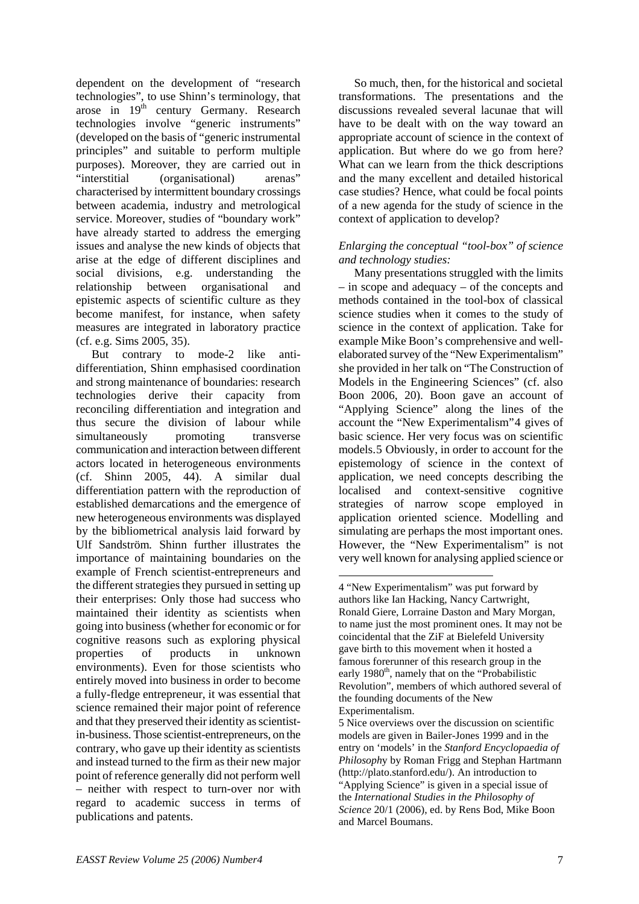dependent on the development of "research technologies", to use Shinn's terminology, that arose in 19<sup>th</sup> century Germany. Research technologies involve "generic instruments" (developed on the basis of "generic instrumental principles" and suitable to perform multiple purposes). Moreover, they are carried out in "interstitial (organisational) arenas" characterised by intermittent boundary crossings between academia, industry and metrological service. Moreover, studies of "boundary work" have already started to address the emerging issues and analyse the new kinds of objects that arise at the edge of different disciplines and social divisions, e.g. understanding the relationship between organisational and epistemic aspects of scientific culture as they become manifest, for instance, when safety measures are integrated in laboratory practice (cf. e.g. Sims 2005, 35).

<span id="page-6-0"></span> But contrary to mode-2 like antidifferentiation, Shinn emphasised coordination and strong maintenance of boundaries: research technologies derive their capacity from reconciling differentiation and integration and thus secure the division of labour while simultaneously promoting transverse communication and interaction between different actors located in heterogeneous environments (cf. Shinn 2005, 44). A similar dual differentiation pattern with the reproduction of established demarcations and the emergence of new heterogeneous environments was displayed by the bibliometrical analysis laid forward by Ulf Sandström*.* Shinn further illustrates the importance of maintaining boundaries on the example of French scientist-entrepreneurs and the different strategies they pursued in setting up their enterprises: Only those had success who maintained their identity as scientists when going into business (whether for economic or for cognitive reasons such as exploring physical properties of products in unknown environments). Even for those scientists who entirely moved into business in order to become a fully-fledge entrepreneur, it was essential that science remained their major point of reference and that they preserved their identity as scientistin-business. Those scientist-entrepreneurs, on the contrary, who gave up their identity as scientists and instead turned to the firm as their new major point of reference generally did not perform well – neither with respect to turn-over nor with regard to academic success in terms of publications and patents.

 So much, then, for the historical and societal transformations. The presentations and the discussions revealed several lacunae that will have to be dealt with on the way toward an appropriate account of science in the context of application. But where do we go from here? What can we learn from the thick descriptions and the many excellent and detailed historical case studies? Hence, what could be focal points of a new agenda for the study of science in the context of application to develop?

#### *Enlarging the conceptual "tool-box" of science and technology studies:*

 Many presentations struggled with the limits – in scope and adequacy – of the concepts and methods contained in the tool-box of classical science studies when it comes to the study of science in the context of application. Take for example Mike Boon's comprehensive and wellelaborated survey of the "New Experimentalism" she provided in her talk on "The Construction of Models in the Engineering Sciences" (cf. also Boon 2006, 20). Boon gave an account of "Applying Science" along the lines of the account the "New Experimentalism"[4](#page-6-0) gives of basic science. Her very focus was on scientific models.[5](#page-6-1) Obviously, in order to account for the epistemology of science in the context of application, we need concepts describing the localised and context-sensitive cognitive strategies of narrow scope employed in application oriented science. Modelling and simulating are perhaps the most important ones. However, the "New Experimentalism" is not very well known for analysing applied science or

 $\overline{a}$ 4 "New Experimentalism" was put forward by authors like Ian Hacking, Nancy Cartwright, Ronald Giere, Lorraine Daston and Mary Morgan, to name just the most prominent ones. It may not be coincidental that the ZiF at Bielefeld University gave birth to this movement when it hosted a famous forerunner of this research group in the early 1980<sup>th</sup>, namely that on the "Probabilistic Revolution", members of which authored several of the founding documents of the New Experimentalism.

<span id="page-6-1"></span><sup>5</sup> Nice overviews over the discussion on scientific models are given in Bailer-Jones 1999 and in the entry on 'models' in the *Stanford Encyclopaedia of Philosoph*y by Roman Frigg and Stephan Hartmann (http://plato.stanford.edu/). An introduction to "Applying Science" is given in a special issue of the *International Studies in the Philosophy of Science* 20/1 (2006), ed. by Rens Bod, Mike Boon and Marcel Boumans.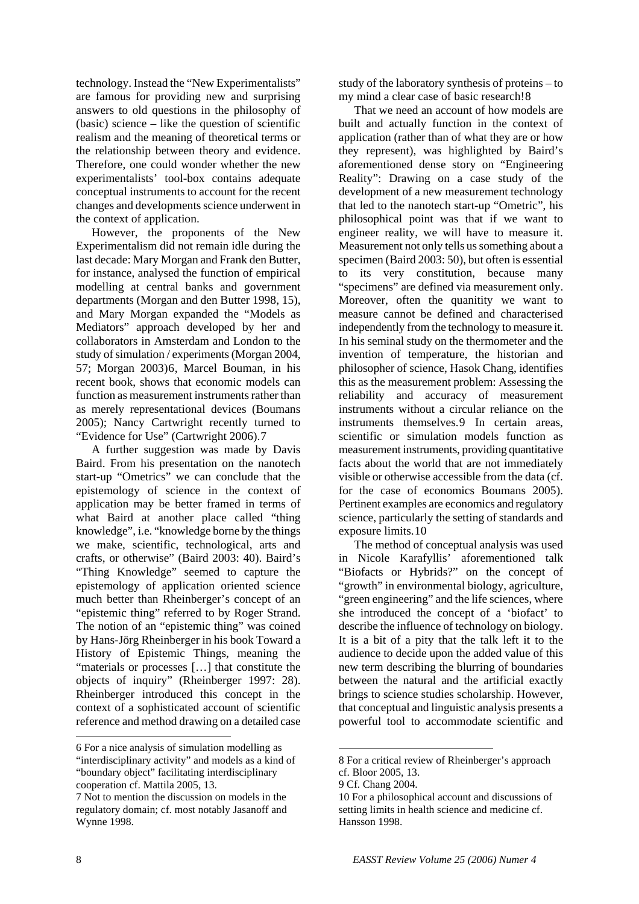technology. Instead the "New Experimentalists" are famous for providing new and surprising answers to old questions in the philosophy of (basic) science – like the question of scientific realism and the meaning of theoretical terms or the relationship between theory and evidence. Therefore, one could wonder whether the new experimentalists' tool-box contains adequate conceptual instruments to account for the recent changes and developments science underwent in the context of application.

 However, the proponents of the New Experimentalism did not remain idle during the last decade: Mary Morgan and Frank den Butter, for instance, analysed the function of empirical modelling at central banks and government departments (Morgan and den Butter 1998, 15), and Mary Morgan expanded the "Models as Mediators" approach developed by her and collaborators in Amsterdam and London to the study of simulation / experiments (Morgan 2004, 57; Morgan 2003)[6](#page-7-0), Marcel Bouman, in his recent book, shows that economic models can function as measurement instruments rather than as merely representational devices (Boumans 2005); Nancy Cartwright recently turned to "Evidence for Use" (Cartwright 2006).[7](#page-7-1)

 A further suggestion was made by Davis Baird. From his presentation on the nanotech start-up "Ometrics" we can conclude that the epistemology of science in the context of application may be better framed in terms of what Baird at another place called "thing knowledge", i.e. "knowledge borne by the things we make, scientific, technological, arts and crafts, or otherwise" (Baird 2003: 40). Baird's "Thing Knowledge" seemed to capture the epistemology of application oriented science much better than Rheinberger's concept of an "epistemic thing" referred to by Roger Strand. The notion of an "epistemic thing" was coined by Hans-Jörg Rheinberger in his book Toward a History of Epistemic Things, meaning the "materials or processes […] that constitute the objects of inquiry" (Rheinberger 1997: 28). Rheinberger introduced this concept in the context of a sophisticated account of scientific reference and method drawing on a detailed case

<span id="page-7-0"></span>6 For a nice analysis of simulation modelling as

study of the laboratory synthesis of proteins – to my mind a clear case of basic research![8](#page-7-2)

 That we need an account of how models are built and actually function in the context of application (rather than of what they are or how they represent), was highlighted by Baird's aforementioned dense story on "Engineering Reality": Drawing on a case study of the development of a new measurement technology that led to the nanotech start-up "Ometric", his philosophical point was that if we want to engineer reality, we will have to measure it. Measurement not only tells us something about a specimen (Baird 2003: 50), but often is essential to its very constitution, because many "specimens" are defined via measurement only. Moreover, often the quanitity we want to measure cannot be defined and characterised independently from the technology to measure it. In his seminal study on the thermometer and the invention of temperature, the historian and philosopher of science, Hasok Chang, identifies this as the measurement problem: Assessing the reliability and accuracy of measurement instruments without a circular reliance on the instruments themselves.[9](#page-7-3) In certain areas, scientific or simulation models function as measurement instruments, providing quantitative facts about the world that are not immediately visible or otherwise accessible from the data (cf. for the case of economics Boumans 2005). Pertinent examples are economics and regulatory science, particularly the setting of standards and exposure limits.[10](#page-7-1)

 The method of conceptual analysis was used in Nicole Karafyllis' aforementioned talk "Biofacts or Hybrids?" on the concept of "growth" in environmental biology, agriculture, "green engineering" and the life sciences, where she introduced the concept of a 'biofact' to describe the influence of technology on biology. It is a bit of a pity that the talk left it to the audience to decide upon the added value of this new term describing the blurring of boundaries between the natural and the artificial exactly brings to science studies scholarship. However, that conceptual and linguistic analysis presents a powerful tool to accommodate scientific and

1

<span id="page-7-2"></span><sup>&</sup>quot;interdisciplinary activity" and models as a kind of "boundary object" facilitating interdisciplinary cooperation cf. Mattila 2005, 13.

<span id="page-7-3"></span><span id="page-7-1"></span><sup>7</sup> Not to mention the discussion on models in the regulatory domain; cf. most notably Jasanoff and Wynne 1998.

<sup>8</sup> For a critical review of Rheinberger's approach cf. Bloor 2005, 13.

<sup>9</sup> Cf. Chang 2004.

<sup>10</sup> For a philosophical account and discussions of setting limits in health science and medicine cf. Hansson 1998.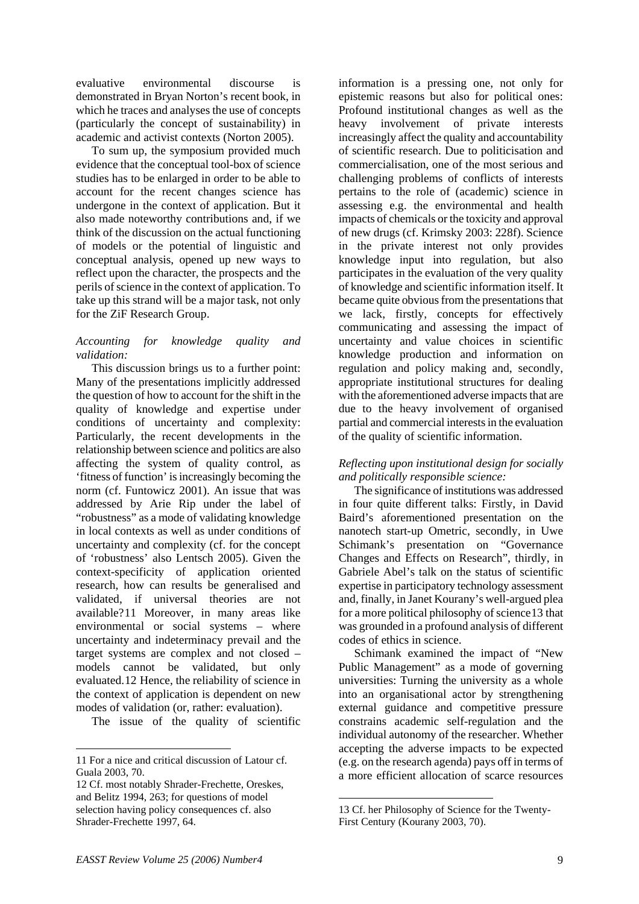evaluative environmental discourse is demonstrated in Bryan Norton's recent book, in which he traces and analyses the use of concepts (particularly the concept of sustainability) in academic and activist contexts (Norton 2005).

 To sum up, the symposium provided much evidence that the conceptual tool-box of science studies has to be enlarged in order to be able to account for the recent changes science has undergone in the context of application. But it also made noteworthy contributions and, if we think of the discussion on the actual functioning of models or the potential of linguistic and conceptual analysis, opened up new ways to reflect upon the character, the prospects and the perils of science in the context of application. To take up this strand will be a major task, not only for the ZiF Research Group.

#### *Accounting for knowledge quality and validation:*

 This discussion brings us to a further point: Many of the presentations implicitly addressed the question of how to account for the shift in the quality of knowledge and expertise under conditions of uncertainty and complexity: Particularly, the recent developments in the relationship between science and politics are also affecting the system of quality control, as 'fitness of function' is increasingly becoming the norm (cf. Funtowicz 2001). An issue that was addressed by Arie Rip under the label of "robustness" as a mode of validating knowledge in local contexts as well as under conditions of uncertainty and complexity (cf. for the concept of 'robustness' also Lentsch 2005). Given the context-specificity of application oriented research, how can results be generalised and validated, if universal theories are not available?[11](#page-8-0) Moreover, in many areas like environmental or social systems – where uncertainty and indeterminacy prevail and the target systems are complex and not closed – models cannot be validated, but only evaluated.[12](#page-8-1) Hence, the reliability of science in the context of application is dependent on new modes of validation (or, rather: evaluation).

The issue of the quality of scientific

-

information is a pressing one, not only for epistemic reasons but also for political ones: Profound institutional changes as well as the heavy involvement of private interests increasingly affect the quality and accountability of scientific research. Due to politicisation and commercialisation, one of the most serious and challenging problems of conflicts of interests pertains to the role of (academic) science in assessing e.g. the environmental and health impacts of chemicals or the toxicity and approval of new drugs (cf. Krimsky 2003: 228f). Science in the private interest not only provides knowledge input into regulation, but also participates in the evaluation of the very quality of knowledge and scientific information itself. It became quite obvious from the presentations that we lack, firstly, concepts for effectively communicating and assessing the impact of uncertainty and value choices in scientific knowledge production and information on regulation and policy making and, secondly, appropriate institutional structures for dealing with the aforementioned adverse impacts that are due to the heavy involvement of organised partial and commercial interests in the evaluation of the quality of scientific information.

#### *Reflecting upon institutional design for socially and politically responsible science:*

 The significance of institutions was addressed in four quite different talks: Firstly, in David Baird's aforementioned presentation on the nanotech start-up Ometric, secondly, in Uwe Schimank's presentation on "Governance Changes and Effects on Research", thirdly, in Gabriele Abel's talk on the status of scientific expertise in participatory technology assessment and, finally, in Janet Kourany's well-argued plea for a more political philosophy of science[13](#page-8-2) that was grounded in a profound analysis of different codes of ethics in science.

 Schimank examined the impact of "New Public Management" as a mode of governing universities: Turning the university as a whole into an organisational actor by strengthening external guidance and competitive pressure constrains academic self-regulation and the individual autonomy of the researcher. Whether accepting the adverse impacts to be expected (e.g. on the research agenda) pays off in terms of a more efficient allocation of scarce resources

 $\overline{a}$ 

<span id="page-8-0"></span><sup>11</sup> For a nice and critical discussion of Latour cf. Guala 2003, 70.

<span id="page-8-2"></span><span id="page-8-1"></span><sup>12</sup> Cf. most notably Shrader-Frechette, Oreskes, and Belitz 1994, 263; for questions of model selection having policy consequences cf. also Shrader-Frechette 1997, 64.

<sup>13</sup> Cf. her Philosophy of Science for the Twenty-First Century (Kourany 2003, 70).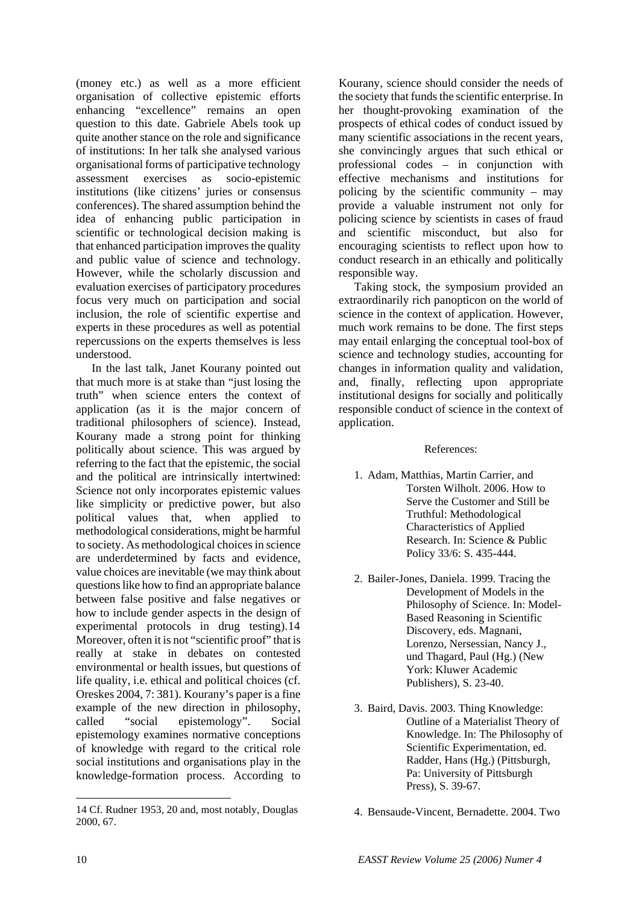(money etc.) as well as a more efficient organisation of collective epistemic efforts enhancing "excellence" remains an open question to this date. Gabriele Abels took up quite another stance on the role and significance of institutions: In her talk she analysed various organisational forms of participative technology assessment exercises as socio-epistemic institutions (like citizens' juries or consensus conferences). The shared assumption behind the idea of enhancing public participation in scientific or technological decision making is that enhanced participation improves the quality and public value of science and technology. However, while the scholarly discussion and evaluation exercises of participatory procedures focus very much on participation and social inclusion, the role of scientific expertise and experts in these procedures as well as potential repercussions on the experts themselves is less understood.

 In the last talk, Janet Kourany pointed out that much more is at stake than "just losing the truth" when science enters the context of application (as it is the major concern of traditional philosophers of science). Instead, Kourany made a strong point for thinking politically about science. This was argued by referring to the fact that the epistemic, the social and the political are intrinsically intertwined: Science not only incorporates epistemic values like simplicity or predictive power, but also political values that, when applied to methodological considerations, might be harmful to society. As methodological choices in science are underdetermined by facts and evidence, value choices are inevitable (we may think about questions like how to find an appropriate balance between false positive and false negatives or how to include gender aspects in the design of experimental protocols in drug testing).[14](#page-9-0) Moreover, often it is not "scientific proof" that is really at stake in debates on contested environmental or health issues, but questions of life quality, i.e. ethical and political choices (cf. Oreskes 2004, 7: 381). Kourany's paper is a fine example of the new direction in philosophy, called "social epistemology". Social epistemology examines normative conceptions of knowledge with regard to the critical role social institutions and organisations play in the knowledge-formation process. According to

Kourany, science should consider the needs of the society that funds the scientific enterprise. In her thought-provoking examination of the prospects of ethical codes of conduct issued by many scientific associations in the recent years, she convincingly argues that such ethical or professional codes – in conjunction with effective mechanisms and institutions for policing by the scientific community – may provide a valuable instrument not only for policing science by scientists in cases of fraud and scientific misconduct, but also for encouraging scientists to reflect upon how to conduct research in an ethically and politically responsible way.

 Taking stock, the symposium provided an extraordinarily rich panopticon on the world of science in the context of application. However, much work remains to be done. The first steps may entail enlarging the conceptual tool-box of science and technology studies, accounting for changes in information quality and validation, and, finally, reflecting upon appropriate institutional designs for socially and politically responsible conduct of science in the context of application.

#### References:

- 1. Adam, Matthias, Martin Carrier, and Torsten Wilholt. 2006. How to Serve the Customer and Still be Truthful: Methodological Characteristics of Applied Research. In: Science & Public Policy 33/6: S. 435-444.
- 2. Bailer-Jones, Daniela. 1999. Tracing the Development of Models in the Philosophy of Science. In: Model-Based Reasoning in Scientific Discovery, eds. Magnani, Lorenzo, Nersessian, Nancy J., und Thagard, Paul (Hg.) (New York: Kluwer Academic Publishers), S. 23-40.
- 3. Baird, Davis. 2003. Thing Knowledge: Outline of a Materialist Theory of Knowledge. In: The Philosophy of Scientific Experimentation, ed. Radder, Hans (Hg.) (Pittsburgh, Pa: University of Pittsburgh Press), S. 39-67.

-

<span id="page-9-0"></span><sup>14</sup> Cf. Rudner 1953, 20 and, most notably, Douglas 2000, 67.

 <sup>4.</sup> Bensaude-Vincent, Bernadette. 2004. Two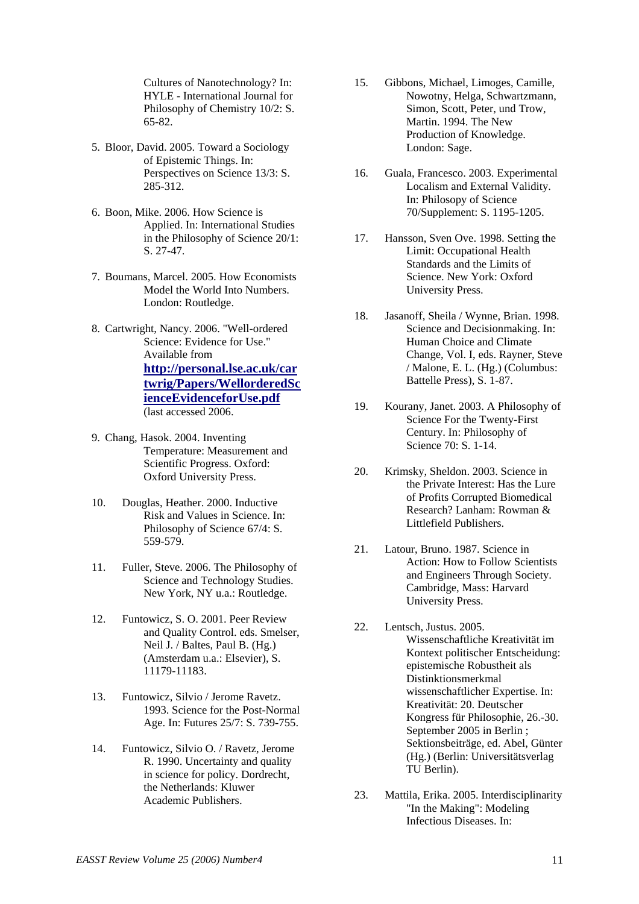Cultures of Nanotechnology? In: HYLE - International Journal for Philosophy of Chemistry 10/2: S. 65-82.

- 5. Bloor, David. 2005. Toward a Sociology of Epistemic Things. In: Perspectives on Science 13/3: S. 285-312.
- 6. Boon, Mike. 2006. How Science is Applied. In: International Studies in the Philosophy of Science 20/1: S. 27-47.
- 7. Boumans, Marcel. 2005. How Economists Model the World Into Numbers. London: Routledge.
- 8. Cartwright, Nancy. 2006. "Well-ordered Science: Evidence for Use." Available from **[http://personal.lse.ac.uk/car](http://personal.lse.ac.uk/cartwrig/Papers/WellorderedScienceEvidenceforUse.pdf) [twrig/Papers/WellorderedSc](http://personal.lse.ac.uk/cartwrig/Papers/WellorderedScienceEvidenceforUse.pdf) [ienceEvidenceforUse.pdf](http://personal.lse.ac.uk/cartwrig/Papers/WellorderedScienceEvidenceforUse.pdf)** (last accessed 2006.
- 9. Chang, Hasok. 2004. Inventing Temperature: Measurement and Scientific Progress. Oxford: Oxford University Press.
- 10. Douglas, Heather. 2000. Inductive Risk and Values in Science. In: Philosophy of Science 67/4: S. 559-579.
- 11. Fuller, Steve. 2006. The Philosophy of Science and Technology Studies. New York, NY u.a.: Routledge.
- 12. Funtowicz, S. O. 2001. Peer Review and Quality Control. eds. Smelser, Neil J. / Baltes, Paul B. (Hg.) (Amsterdam u.a.: Elsevier), S. 11179-11183.
- 13. Funtowicz, Silvio / Jerome Ravetz. 1993. Science for the Post-Normal Age. In: Futures 25/7: S. 739-755.
- 14. Funtowicz, Silvio O. / Ravetz, Jerome R. 1990. Uncertainty and quality in science for policy. Dordrecht, the Netherlands: Kluwer Academic Publishers.
- 15. Gibbons, Michael, Limoges, Camille, Nowotny, Helga, Schwartzmann, Simon, Scott, Peter, und Trow, Martin. 1994. The New Production of Knowledge. London: Sage.
- 16. Guala, Francesco. 2003. Experimental Localism and External Validity. In: Philosopy of Science 70/Supplement: S. 1195-1205.
- 17. Hansson, Sven Ove. 1998. Setting the Limit: Occupational Health Standards and the Limits of Science. New York: Oxford University Press.
- 18. Jasanoff, Sheila / Wynne, Brian. 1998. Science and Decisionmaking. In: Human Choice and Climate Change, Vol. I, eds. Rayner, Steve / Malone, E. L. (Hg.) (Columbus: Battelle Press), S. 1-87.
- 19. Kourany, Janet. 2003. A Philosophy of Science For the Twenty-First Century. In: Philosophy of Science 70: S. 1-14.
- 20. Krimsky, Sheldon. 2003. Science in the Private Interest: Has the Lure of Profits Corrupted Biomedical Research? Lanham: Rowman & Littlefield Publishers.
- 21. Latour, Bruno. 1987. Science in Action: How to Follow Scientists and Engineers Through Society. Cambridge, Mass: Harvard University Press.
- 22. Lentsch, Justus. 2005. Wissenschaftliche Kreativität im Kontext politischer Entscheidung: epistemische Robustheit als Distinktionsmerkmal wissenschaftlicher Expertise. In: Kreativität: 20. Deutscher Kongress für Philosophie, 26.-30. September 2005 in Berlin ; Sektionsbeiträge, ed. Abel, Günter (Hg.) (Berlin: Universitätsverlag TU Berlin).
- 23. Mattila, Erika. 2005. Interdisciplinarity "In the Making": Modeling Infectious Diseases. In: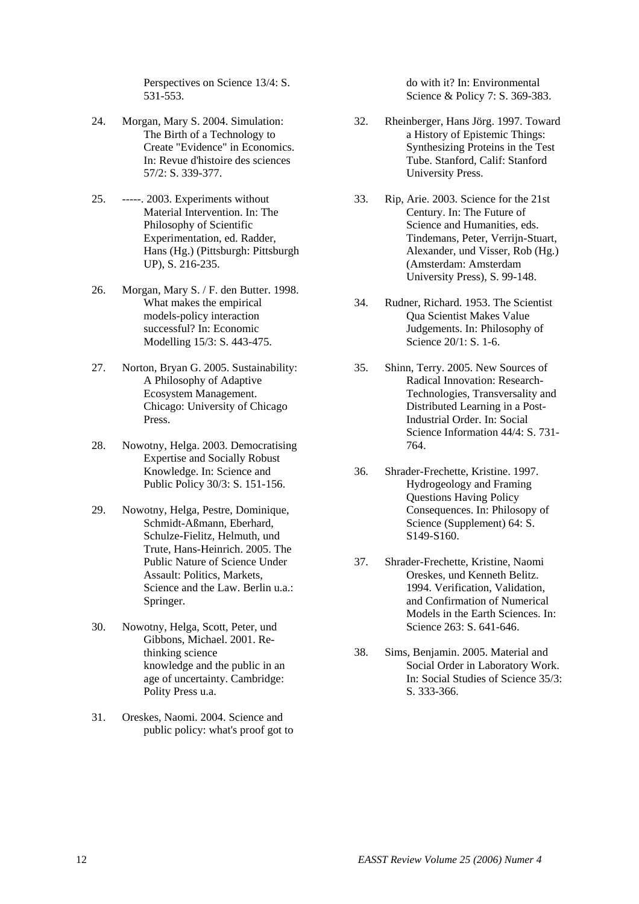Perspectives on Science 13/4: S. 531-553.

- 24. Morgan, Mary S. 2004. Simulation: The Birth of a Technology to Create "Evidence" in Economics. In: Revue d'histoire des sciences 57/2: S. 339-377.
- 25. -----. 2003. Experiments without Material Intervention. In: The Philosophy of Scientific Experimentation, ed. Radder, Hans (Hg.) (Pittsburgh: Pittsburgh UP), S. 216-235.
- 26. Morgan, Mary S. / F. den Butter. 1998. What makes the empirical models-policy interaction successful? In: Economic Modelling 15/3: S. 443-475.
- 27. Norton, Bryan G. 2005. Sustainability: A Philosophy of Adaptive Ecosystem Management. Chicago: University of Chicago Press.
- 28. Nowotny, Helga. 2003. Democratising Expertise and Socially Robust Knowledge. In: Science and Public Policy 30/3: S. 151-156.
- 29. Nowotny, Helga, Pestre, Dominique, Schmidt-Aßmann, Eberhard, Schulze-Fielitz, Helmuth, und Trute, Hans-Heinrich. 2005. The Public Nature of Science Under Assault: Politics, Markets, Science and the Law. Berlin u.a.: Springer.
- 30. Nowotny, Helga, Scott, Peter, und Gibbons, Michael. 2001. Rethinking science knowledge and the public in an age of uncertainty. Cambridge: Polity Press u.a.
- 31. Oreskes, Naomi. 2004. Science and public policy: what's proof got to

do with it? In: Environmental Science & Policy 7: S. 369-383.

- 32. Rheinberger, Hans Jörg. 1997. Toward a History of Epistemic Things: Synthesizing Proteins in the Test Tube. Stanford, Calif: Stanford University Press.
- 33. Rip, Arie. 2003. Science for the 21st Century. In: The Future of Science and Humanities, eds. Tindemans, Peter, Verrijn-Stuart, Alexander, und Visser, Rob (Hg.) (Amsterdam: Amsterdam University Press), S. 99-148.
- 34. Rudner, Richard. 1953. The Scientist Qua Scientist Makes Value Judgements. In: Philosophy of Science 20/1: S. 1-6.
- 35. Shinn, Terry. 2005. New Sources of Radical Innovation: Research-Technologies, Transversality and Distributed Learning in a Post-Industrial Order. In: Social Science Information 44/4: S. 731- 764.
- 36. Shrader-Frechette, Kristine. 1997. Hydrogeology and Framing Questions Having Policy Consequences. In: Philosopy of Science (Supplement) 64: S. S149-S160.
- 37. Shrader-Frechette, Kristine, Naomi Oreskes, und Kenneth Belitz. 1994. Verification, Validation, and Confirmation of Numerical Models in the Earth Sciences. In: Science 263: S. 641-646.
- 38. Sims, Benjamin. 2005. Material and Social Order in Laboratory Work. In: Social Studies of Science 35/3: S. 333-366.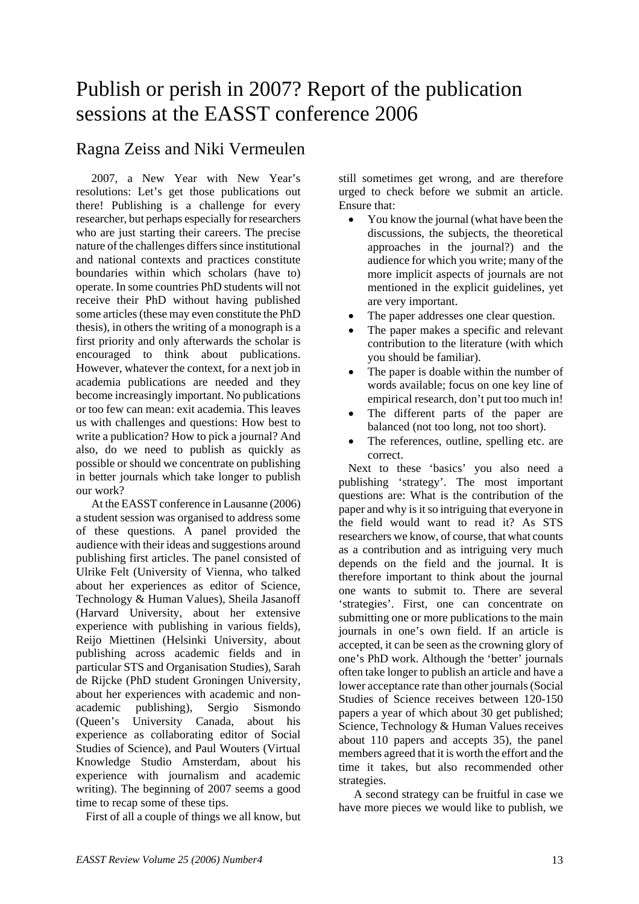# Publish or perish in 2007? Report of the publication sessions at the EASST conference 2006

## Ragna Zeiss and Niki Vermeulen

2007, a New Year with New Year's resolutions: Let's get those publications out there! Publishing is a challenge for every researcher, but perhaps especially for researchers who are just starting their careers. The precise nature of the challenges differs since institutional and national contexts and practices constitute boundaries within which scholars (have to) operate. In some countries PhD students will not receive their PhD without having published some articles (these may even constitute the PhD thesis), in others the writing of a monograph is a first priority and only afterwards the scholar is encouraged to think about publications. However, whatever the context, for a next job in academia publications are needed and they become increasingly important. No publications or too few can mean: exit academia. This leaves us with challenges and questions: How best to write a publication? How to pick a journal? And also, do we need to publish as quickly as possible or should we concentrate on publishing in better journals which take longer to publish our work?

At the EASST conference in Lausanne (2006) a student session was organised to address some of these questions. A panel provided the audience with their ideas and suggestions around publishing first articles. The panel consisted of Ulrike Felt (University of Vienna, who talked about her experiences as editor of Science, Technology & Human Values), Sheila Jasanoff (Harvard University, about her extensive experience with publishing in various fields), Reijo Miettinen (Helsinki University, about publishing across academic fields and in particular STS and Organisation Studies), Sarah de Rijcke (PhD student Groningen University, about her experiences with academic and nonacademic publishing), Sergio Sismondo (Queen's University Canada, about his experience as collaborating editor of Social Studies of Science), and Paul Wouters (Virtual Knowledge Studio Amsterdam, about his experience with journalism and academic writing). The beginning of 2007 seems a good time to recap some of these tips.

First of all a couple of things we all know, but

still sometimes get wrong, and are therefore urged to check before we submit an article. Ensure that:

- You know the journal (what have been the discussions, the subjects, the theoretical approaches in the journal?) and the audience for which you write; many of the more implicit aspects of journals are not mentioned in the explicit guidelines, yet are very important.
- The paper addresses one clear question.
- The paper makes a specific and relevant contribution to the literature (with which you should be familiar).
- The paper is doable within the number of words available; focus on one key line of empirical research, don't put too much in!
- The different parts of the paper are balanced (not too long, not too short).
- The references, outline, spelling etc. are correct.

Next to these 'basics' you also need a publishing 'strategy'. The most important questions are: What is the contribution of the paper and why is it so intriguing that everyone in the field would want to read it? As STS researchers we know, of course, that what counts as a contribution and as intriguing very much depends on the field and the journal. It is therefore important to think about the journal one wants to submit to. There are several 'strategies'. First, one can concentrate on submitting one or more publications to the main journals in one's own field. If an article is accepted, it can be seen as the crowning glory of one's PhD work. Although the 'better' journals often take longer to publish an article and have a lower acceptance rate than other journals (Social Studies of Science receives between 120-150 papers a year of which about 30 get published; Science, Technology & Human Values receives about 110 papers and accepts 35), the panel members agreed that it is worth the effort and the time it takes, but also recommended other strategies.

A second strategy can be fruitful in case we have more pieces we would like to publish, we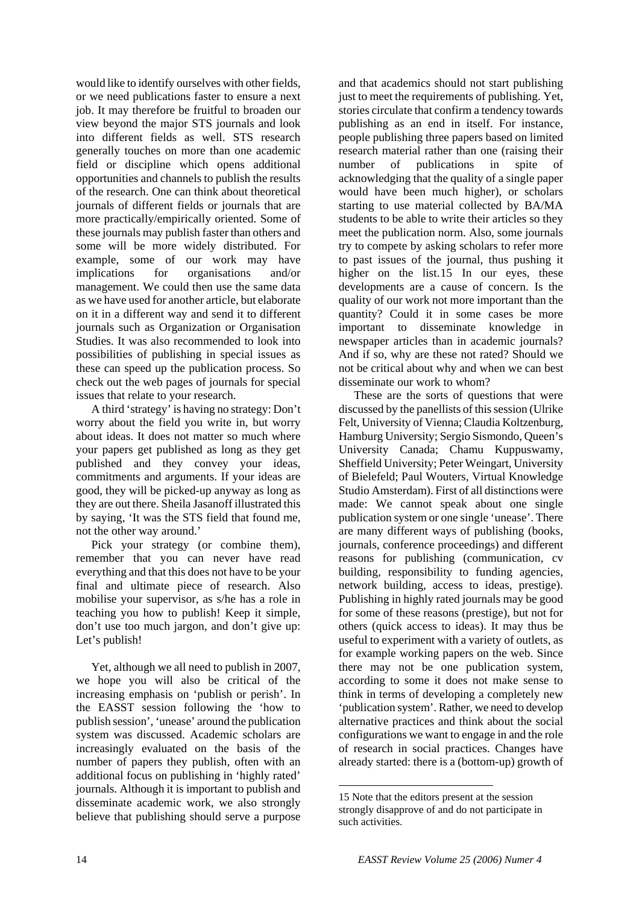would like to identify ourselves with other fields, or we need publications faster to ensure a next job. It may therefore be fruitful to broaden our view beyond the major STS journals and look into different fields as well. STS research generally touches on more than one academic field or discipline which opens additional opportunities and channels to publish the results of the research. One can think about theoretical journals of different fields or journals that are more practically/empirically oriented. Some of these journals may publish faster than others and some will be more widely distributed. For example, some of our work may have implications for organisations and/or management. We could then use the same data as we have used for another article, but elaborate on it in a different way and send it to different journals such as Organization or Organisation Studies. It was also recommended to look into possibilities of publishing in special issues as these can speed up the publication process. So check out the web pages of journals for special issues that relate to your research.

A third 'strategy' is having no strategy: Don't worry about the field you write in, but worry about ideas. It does not matter so much where your papers get published as long as they get published and they convey your ideas, commitments and arguments. If your ideas are good, they will be picked-up anyway as long as they are out there. Sheila Jasanoff illustrated this by saying, 'It was the STS field that found me, not the other way around.'

Pick your strategy (or combine them), remember that you can never have read everything and that this does not have to be your final and ultimate piece of research. Also mobilise your supervisor, as s/he has a role in teaching you how to publish! Keep it simple, don't use too much jargon, and don't give up: Let's publish!

<span id="page-13-0"></span>Yet, although we all need to publish in 2007, we hope you will also be critical of the increasing emphasis on 'publish or perish'. In the EASST session following the 'how to publish session', 'unease' around the publication system was discussed. Academic scholars are increasingly evaluated on the basis of the number of papers they publish, often with an additional focus on publishing in 'highly rated' journals. Although it is important to publish and disseminate academic work, we also strongly believe that publishing should serve a purpose

and that academics should not start publishing just to meet the requirements of publishing. Yet, stories circulate that confirm a tendency towards publishing as an end in itself. For instance, people publishing three papers based on limited research material rather than one (raising their number of publications in spite of acknowledging that the quality of a single paper would have been much higher), or scholars starting to use material collected by BA/MA students to be able to write their articles so they meet the publication norm. Also, some journals try to compete by asking scholars to refer more to past issues of the journal, thus pushing it higher on the list.[15](#page-13-0) In our eyes, these developments are a cause of concern. Is the quality of our work not more important than the quantity? Could it in some cases be more important to disseminate knowledge in newspaper articles than in academic journals? And if so, why are these not rated? Should we not be critical about why and when we can best disseminate our work to whom?

These are the sorts of questions that were discussed by the panellists of this session (Ulrike Felt, University of Vienna; Claudia Koltzenburg, Hamburg University; Sergio Sismondo, Queen's University Canada; Chamu Kuppuswamy, Sheffield University; Peter Weingart, University of Bielefeld; Paul Wouters, Virtual Knowledge Studio Amsterdam). First of all distinctions were made: We cannot speak about one single publication system or one single 'unease'. There are many different ways of publishing (books, journals, conference proceedings) and different reasons for publishing (communication, cv building, responsibility to funding agencies, network building, access to ideas, prestige). Publishing in highly rated journals may be good for some of these reasons (prestige), but not for others (quick access to ideas). It may thus be useful to experiment with a variety of outlets, as for example working papers on the web. Since there may not be one publication system, according to some it does not make sense to think in terms of developing a completely new 'publication system'. Rather, we need to develop alternative practices and think about the social configurations we want to engage in and the role of research in social practices. Changes have already started: there is a (bottom-up) growth of

 $\overline{a}$ 

<sup>15</sup> Note that the editors present at the session strongly disapprove of and do not participate in such activities.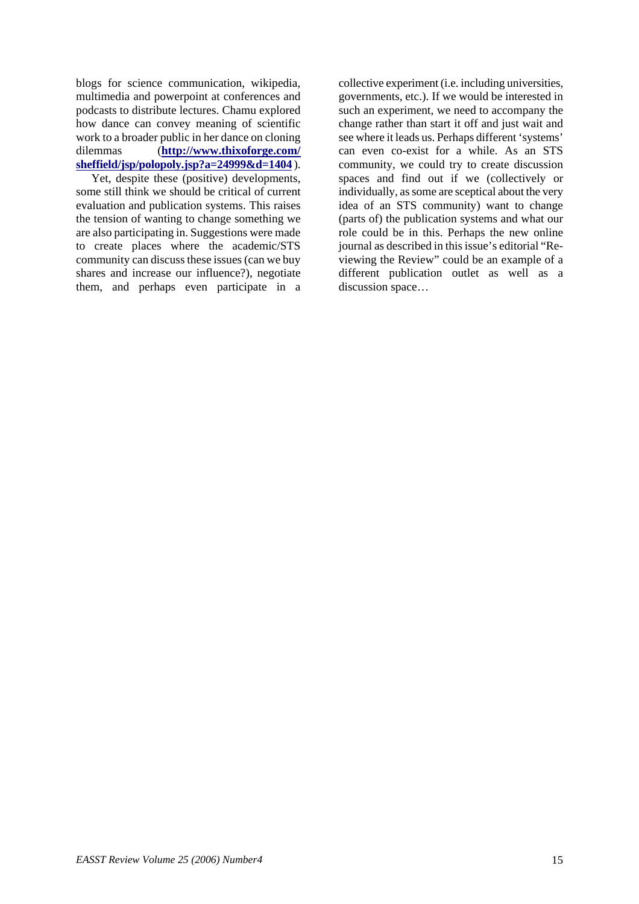blogs for science communication, wikipedia, multimedia and powerpoint at conferences and podcasts to distribute lectures. Chamu explored how dance can convey meaning of scientific work to a broader public in her dance on cloning dilemmas (**[http://www.thixoforge.com/](http://www.thixoforge.com/%20sheffield/jsp/polopoly.jsp?a=24999&d=1404) [sheffield/jsp/polopoly.jsp?a=24999&d=1404](http://www.thixoforge.com/%20sheffield/jsp/polopoly.jsp?a=24999&d=1404)** ).

Yet, despite these (positive) developments, some still think we should be critical of current evaluation and publication systems. This raises the tension of wanting to change something we are also participating in. Suggestions were made to create places where the academic/STS community can discuss these issues (can we buy shares and increase our influence?), negotiate them, and perhaps even participate in a

collective experiment (i.e. including universities, governments, etc.). If we would be interested in such an experiment, we need to accompany the change rather than start it off and just wait and see where it leads us. Perhaps different 'systems' can even co-exist for a while. As an STS community, we could try to create discussion spaces and find out if we (collectively or individually, as some are sceptical about the very idea of an STS community) want to change (parts of) the publication systems and what our role could be in this. Perhaps the new online journal as described in this issue's editorial "Reviewing the Review" could be an example of a different publication outlet as well as a discussion space…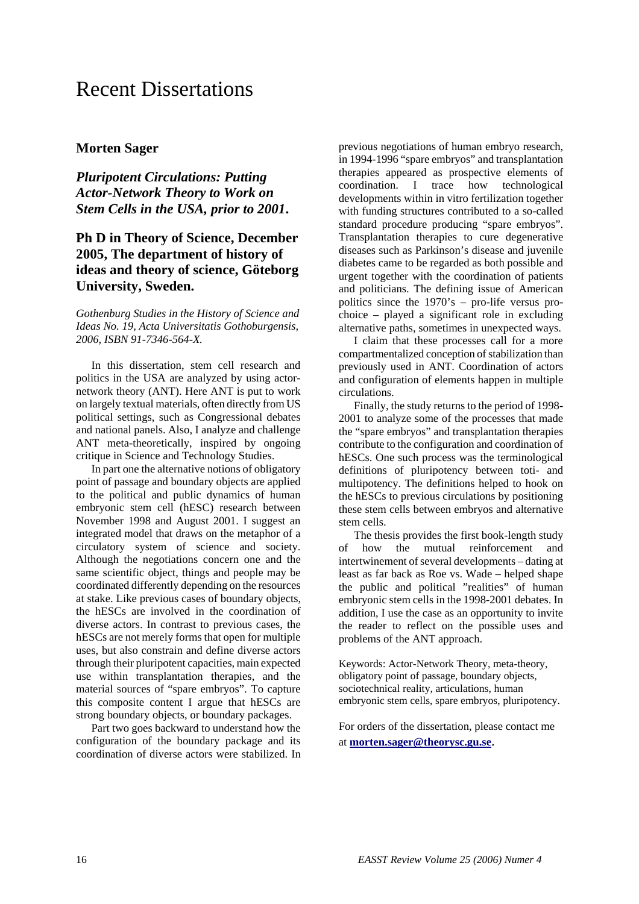## Recent Dissertations

#### **Morten Sager**

*Pluripotent Circulations: Putting Actor-Network Theory to Work on Stem Cells in the USA, prior to 2001***.** 

#### **Ph D in Theory of Science, December 2005, The department of history of ideas and theory of science, Göteborg University, Sweden.**

*Gothenburg Studies in the History of Science and Ideas No. 19, Acta Universitatis Gothoburgensis, 2006, ISBN 91-7346-564-X.* 

In this dissertation, stem cell research and politics in the USA are analyzed by using actornetwork theory (ANT). Here ANT is put to work on largely textual materials, often directly from US political settings, such as Congressional debates and national panels. Also, I analyze and challenge ANT meta-theoretically, inspired by ongoing critique in Science and Technology Studies.

In part one the alternative notions of obligatory point of passage and boundary objects are applied to the political and public dynamics of human embryonic stem cell (hESC) research between November 1998 and August 2001. I suggest an integrated model that draws on the metaphor of a circulatory system of science and society. Although the negotiations concern one and the same scientific object, things and people may be coordinated differently depending on the resources at stake. Like previous cases of boundary objects, the hESCs are involved in the coordination of diverse actors. In contrast to previous cases, the hESCs are not merely forms that open for multiple uses, but also constrain and define diverse actors through their pluripotent capacities, main expected use within transplantation therapies, and the material sources of "spare embryos". To capture this composite content I argue that hESCs are strong boundary objects, or boundary packages.

Part two goes backward to understand how the configuration of the boundary package and its coordination of diverse actors were stabilized. In previous negotiations of human embryo research, in 1994-1996 "spare embryos" and transplantation therapies appeared as prospective elements of coordination. I trace how technological developments within in vitro fertilization together with funding structures contributed to a so-called standard procedure producing "spare embryos". Transplantation therapies to cure degenerative diseases such as Parkinson's disease and juvenile diabetes came to be regarded as both possible and urgent together with the coordination of patients and politicians. The defining issue of American politics since the 1970's – pro-life versus prochoice – played a significant role in excluding alternative paths, sometimes in unexpected ways.

I claim that these processes call for a more compartmentalized conception of stabilization than previously used in ANT. Coordination of actors and configuration of elements happen in multiple circulations.

Finally, the study returns to the period of 1998- 2001 to analyze some of the processes that made the "spare embryos" and transplantation therapies contribute to the configuration and coordination of hESCs. One such process was the terminological definitions of pluripotency between toti- and multipotency. The definitions helped to hook on the hESCs to previous circulations by positioning these stem cells between embryos and alternative stem cells.

The thesis provides the first book-length study of how the mutual reinforcement and intertwinement of several developments – dating at least as far back as Roe vs. Wade – helped shape the public and political "realities" of human embryonic stem cells in the 1998-2001 debates. In addition, I use the case as an opportunity to invite the reader to reflect on the possible uses and problems of the ANT approach.

Keywords: Actor-Network Theory, meta-theory, obligatory point of passage, boundary objects, sociotechnical reality, articulations, human embryonic stem cells, spare embryos, pluripotency.

For orders of the dissertation, please contact me at **[morten.sager@theorysc.gu.se](mailto:morten.sager@theorysc.gu.se)**.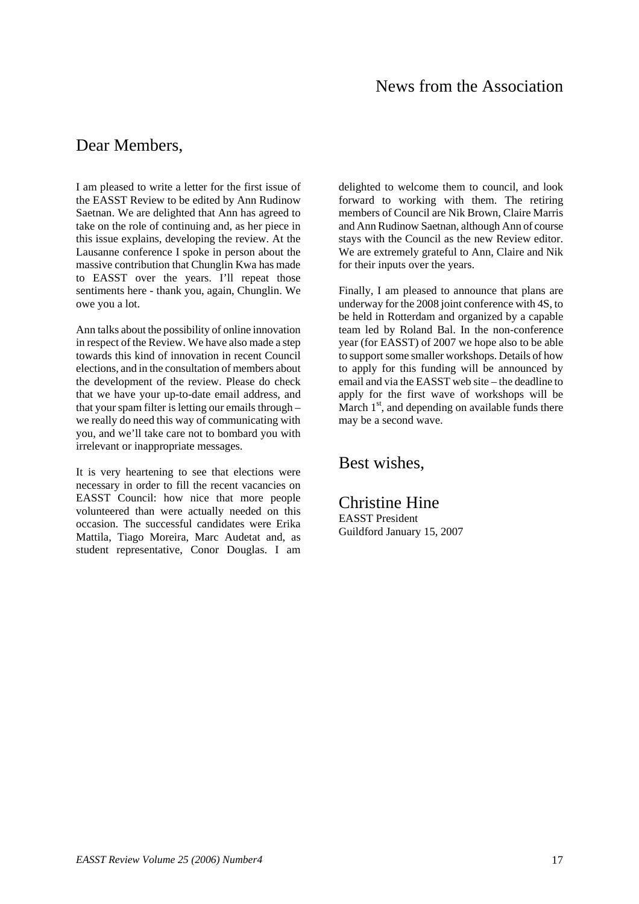### News from the Association

### Dear Members,

I am pleased to write a letter for the first issue of the EASST Review to be edited by Ann Rudinow Saetnan. We are delighted that Ann has agreed to take on the role of continuing and, as her piece in this issue explains, developing the review. At the Lausanne conference I spoke in person about the massive contribution that Chunglin Kwa has made to EASST over the years. I'll repeat those sentiments here - thank you, again, Chunglin. We owe you a lot.

Ann talks about the possibility of online innovation in respect of the Review. We have also made a step towards this kind of innovation in recent Council elections, and in the consultation of members about the development of the review. Please do check that we have your up-to-date email address, and that your spam filter is letting our emails through – we really do need this way of communicating with you, and we'll take care not to bombard you with irrelevant or inappropriate messages.

It is very heartening to see that elections were necessary in order to fill the recent vacancies on EASST Council: how nice that more people volunteered than were actually needed on this occasion. The successful candidates were Erika Mattila, Tiago Moreira, Marc Audetat and, as student representative, Conor Douglas. I am delighted to welcome them to council, and look forward to working with them. The retiring members of Council are Nik Brown, Claire Marris and Ann Rudinow Saetnan, although Ann of course stays with the Council as the new Review editor. We are extremely grateful to Ann, Claire and Nik for their inputs over the years.

Finally, I am pleased to announce that plans are underway for the 2008 joint conference with 4S, to be held in Rotterdam and organized by a capable team led by Roland Bal. In the non-conference year (for EASST) of 2007 we hope also to be able to support some smaller workshops. Details of how to apply for this funding will be announced by email and via the EASST web site – the deadline to apply for the first wave of workshops will be March  $1<sup>st</sup>$ , and depending on available funds there may be a second wave.

### Best wishes,

Christine Hine EASST President Guildford January 15, 2007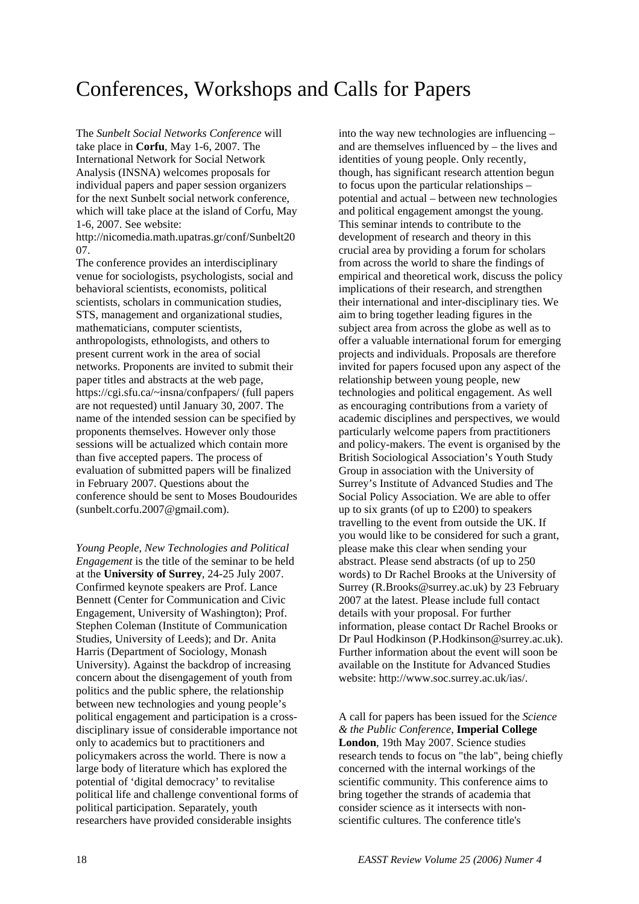## Conferences, Workshops and Calls for Papers

The *Sunbelt Social Networks Conference* will take place in **Corfu**, May 1-6, 2007. The International Network for Social Network Analysis (INSNA) welcomes proposals for individual papers and paper session organizers for the next Sunbelt social network conference, which will take place at the island of Corfu, May 1-6, 2007. See website:

http://nicomedia.math.upatras.gr/conf/Sunbelt20 07.

The conference provides an interdisciplinary venue for sociologists, psychologists, social and behavioral scientists, economists, political scientists, scholars in communication studies, STS, management and organizational studies, mathematicians, computer scientists, anthropologists, ethnologists, and others to present current work in the area of social networks. Proponents are invited to submit their paper titles and abstracts at the web page, https://cgi.sfu.ca/~insna/confpapers/ (full papers are not requested) until January 30, 2007. The name of the intended session can be specified by proponents themselves. However only those sessions will be actualized which contain more than five accepted papers. The process of evaluation of submitted papers will be finalized in February 2007. Questions about the conference should be sent to Moses Boudourides (sunbelt.corfu.2007@gmail.com).

*Young People, New Technologies and Political Engagement* is the title of the seminar to be held at the **University of Surrey**, 24-25 July 2007. Confirmed keynote speakers are Prof. Lance Bennett (Center for Communication and Civic Engagement, University of Washington); Prof. Stephen Coleman (Institute of Communication Studies, University of Leeds); and Dr. Anita Harris (Department of Sociology, Monash University). Against the backdrop of increasing concern about the disengagement of youth from politics and the public sphere, the relationship between new technologies and young people's political engagement and participation is a crossdisciplinary issue of considerable importance not only to academics but to practitioners and policymakers across the world. There is now a large body of literature which has explored the potential of 'digital democracy' to revitalise political life and challenge conventional forms of political participation. Separately, youth researchers have provided considerable insights

into the way new technologies are influencing – and are themselves influenced by – the lives and identities of young people. Only recently, though, has significant research attention begun to focus upon the particular relationships – potential and actual – between new technologies and political engagement amongst the young. This seminar intends to contribute to the development of research and theory in this crucial area by providing a forum for scholars from across the world to share the findings of empirical and theoretical work, discuss the policy implications of their research, and strengthen their international and inter-disciplinary ties. We aim to bring together leading figures in the subject area from across the globe as well as to offer a valuable international forum for emerging projects and individuals. Proposals are therefore invited for papers focused upon any aspect of the relationship between young people, new technologies and political engagement. As well as encouraging contributions from a variety of academic disciplines and perspectives, we would particularly welcome papers from practitioners and policy-makers. The event is organised by the British Sociological Association's Youth Study Group in association with the University of Surrey's Institute of Advanced Studies and The Social Policy Association. We are able to offer up to six grants (of up to  $£200$ ) to speakers travelling to the event from outside the UK. If you would like to be considered for such a grant, please make this clear when sending your abstract. Please send abstracts (of up to 250 words) to Dr Rachel Brooks at the University of Surrey (R.Brooks@surrey.ac.uk) by 23 February 2007 at the latest. Please include full contact details with your proposal. For further information, please contact Dr Rachel Brooks or Dr Paul Hodkinson (P.Hodkinson@surrey.ac.uk). Further information about the event will soon be available on the Institute for Advanced Studies website: http://www.soc.surrey.ac.uk/ias/.

A call for papers has been issued for the *Science & the Public Conference*, **Imperial College London**, 19th May 2007. Science studies research tends to focus on "the lab", being chiefly concerned with the internal workings of the scientific community. This conference aims to bring together the strands of academia that consider science as it intersects with nonscientific cultures. The conference title's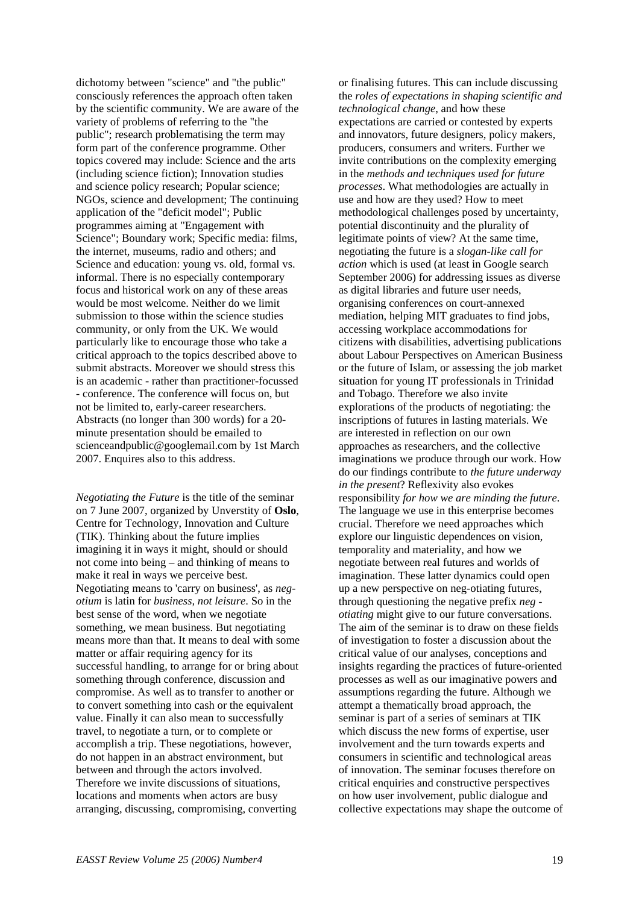dichotomy between "science" and "the public" consciously references the approach often taken by the scientific community. We are aware of the variety of problems of referring to the "the public"; research problematising the term may form part of the conference programme. Other topics covered may include: Science and the arts (including science fiction); Innovation studies and science policy research; Popular science; NGOs, science and development; The continuing application of the "deficit model"; Public programmes aiming at "Engagement with Science"; Boundary work; Specific media: films, the internet, museums, radio and others; and Science and education: young vs. old, formal vs. informal. There is no especially contemporary focus and historical work on any of these areas would be most welcome. Neither do we limit submission to those within the science studies community, or only from the UK. We would particularly like to encourage those who take a critical approach to the topics described above to submit abstracts. Moreover we should stress this is an academic - rather than practitioner-focussed - conference. The conference will focus on, but not be limited to, early-career researchers. Abstracts (no longer than 300 words) for a 20 minute presentation should be emailed to scienceandpublic@googlemail.com by 1st March 2007. Enquires also to this address.

*Negotiating the Future* is the title of the seminar on 7 June 2007, organized by Unverstity of **Oslo**, Centre for Technology, Innovation and Culture (TIK). Thinking about the future implies imagining it in ways it might, should or should not come into being – and thinking of means to make it real in ways we perceive best. Negotiating means to 'carry on business', as *negotium* is latin for *business, not leisure*. So in the best sense of the word, when we negotiate something, we mean business. But negotiating means more than that. It means to deal with some matter or affair requiring agency for its successful handling, to arrange for or bring about something through conference, discussion and compromise. As well as to transfer to another or to convert something into cash or the equivalent value. Finally it can also mean to successfully travel, to negotiate a turn, or to complete or accomplish a trip. These negotiations, however, do not happen in an abstract environment, but between and through the actors involved. Therefore we invite discussions of situations, locations and moments when actors are busy arranging, discussing, compromising, converting

or finalising futures. This can include discussing the *roles of expectations in shaping scientific and technological change*, and how these expectations are carried or contested by experts and innovators, future designers, policy makers, producers, consumers and writers. Further we invite contributions on the complexity emerging in the *methods and techniques used for future processes*. What methodologies are actually in use and how are they used? How to meet methodological challenges posed by uncertainty, potential discontinuity and the plurality of legitimate points of view? At the same time, negotiating the future is a *slogan-like call for action* which is used (at least in Google search September 2006) for addressing issues as diverse as digital libraries and future user needs, organising conferences on court-annexed mediation, helping MIT graduates to find jobs, accessing workplace accommodations for citizens with disabilities, advertising publications about Labour Perspectives on American Business or the future of Islam, or assessing the job market situation for young IT professionals in Trinidad and Tobago. Therefore we also invite explorations of the products of negotiating: the inscriptions of futures in lasting materials. We are interested in reflection on our own approaches as researchers, and the collective imaginations we produce through our work. How do our findings contribute to *the future underway in the present*? Reflexivity also evokes responsibility *for how we are minding the future*. The language we use in this enterprise becomes crucial. Therefore we need approaches which explore our linguistic dependences on vision, temporality and materiality, and how we negotiate between real futures and worlds of imagination. These latter dynamics could open up a new perspective on neg-otiating futures, through questioning the negative prefix *neg otiating* might give to our future conversations. The aim of the seminar is to draw on these fields of investigation to foster a discussion about the critical value of our analyses, conceptions and insights regarding the practices of future-oriented processes as well as our imaginative powers and assumptions regarding the future. Although we attempt a thematically broad approach, the seminar is part of a series of seminars at TIK which discuss the new forms of expertise, user involvement and the turn towards experts and consumers in scientific and technological areas of innovation. The seminar focuses therefore on critical enquiries and constructive perspectives on how user involvement, public dialogue and collective expectations may shape the outcome of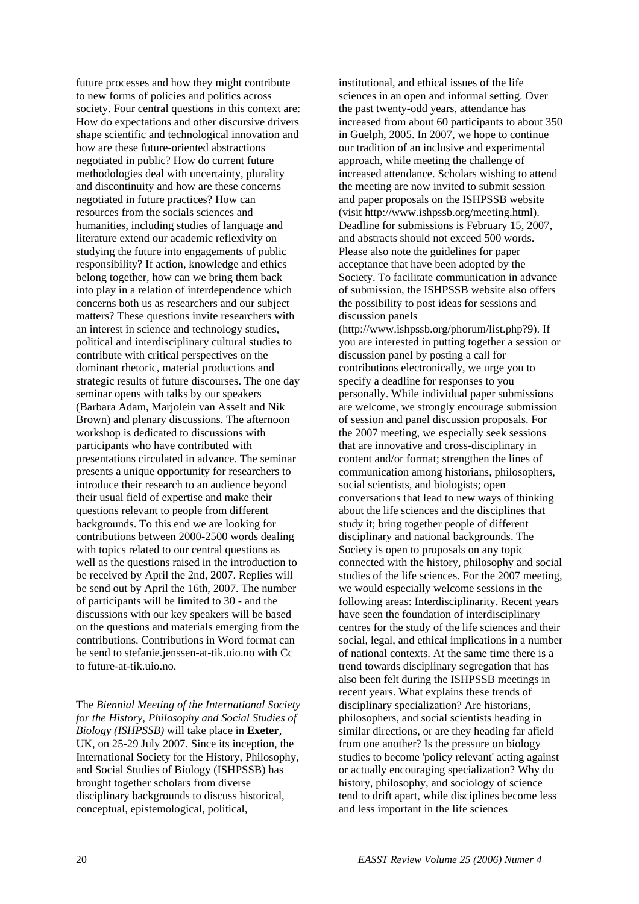future processes and how they might contribute to new forms of policies and politics across society. Four central questions in this context are: How do expectations and other discursive drivers shape scientific and technological innovation and how are these future-oriented abstractions negotiated in public? How do current future methodologies deal with uncertainty, plurality and discontinuity and how are these concerns negotiated in future practices? How can resources from the socials sciences and humanities, including studies of language and literature extend our academic reflexivity on studying the future into engagements of public responsibility? If action, knowledge and ethics belong together, how can we bring them back into play in a relation of interdependence which concerns both us as researchers and our subject matters? These questions invite researchers with an interest in science and technology studies, political and interdisciplinary cultural studies to contribute with critical perspectives on the dominant rhetoric, material productions and strategic results of future discourses. The one day seminar opens with talks by our speakers (Barbara Adam, Marjolein van Asselt and Nik Brown) and plenary discussions. The afternoon workshop is dedicated to discussions with participants who have contributed with presentations circulated in advance. The seminar presents a unique opportunity for researchers to introduce their research to an audience beyond their usual field of expertise and make their questions relevant to people from different backgrounds. To this end we are looking for contributions between 2000-2500 words dealing with topics related to our central questions as well as the questions raised in the [introduction](http://www.tik.uio.no/negotiatingfuture/index.html) to be received by April the 2nd, 2007. Replies will be send out by April the 16th, 2007. The number of participants will be limited to 30 - and the discussions with our key speakers will be based on the questions and materials emerging from the contributions. Contributions in Word format can be send to [stefanie.jenssen-at-tik.uio.no](mailto:stefanie.jenssen@tik.uio.no) with Cc to [future-at-tik.uio.no.](mailto:stefanie.jenssen@tik.uio.no)

The *Biennial Meeting of the International Society for the History, Philosophy and Social Studies of Biology (ISHPSSB)* will take place in **Exeter**, UK, on 25-29 July 2007. Since its inception, the International Society for the History, Philosophy, and Social Studies of Biology (ISHPSSB) has brought together scholars from diverse disciplinary backgrounds to discuss historical, conceptual, epistemological, political,

institutional, and ethical issues of the life sciences in an open and informal setting. Over the past twenty-odd years, attendance has increased from about 60 participants to about 350 in Guelph, 2005. In 2007, we hope to continue our tradition of an inclusive and experimental approach, while meeting the challenge of increased attendance. Scholars wishing to attend the meeting are now invited to submit session and paper proposals on the ISHPSSB website (visit http://www.ishpssb.org/meeting.html). Deadline for submissions is February 15, 2007, and abstracts should not exceed 500 words. Please also note the guidelines for paper acceptance that have been adopted by the Society. To facilitate communication in advance of submission, the ISHPSSB website also offers the possibility to post ideas for sessions and discussion panels

(http://www.ishpssb.org/phorum/list.php?9). If you are interested in putting together a session or discussion panel by posting a call for contributions electronically, we urge you to specify a deadline for responses to you personally. While individual paper submissions are welcome, we strongly encourage submission of session and panel discussion proposals. For the 2007 meeting, we especially seek sessions that are innovative and cross-disciplinary in content and/or format; strengthen the lines of communication among historians, philosophers, social scientists, and biologists; open conversations that lead to new ways of thinking about the life sciences and the disciplines that study it; bring together people of different disciplinary and national backgrounds. The Society is open to proposals on any topic connected with the history, philosophy and social studies of the life sciences. For the 2007 meeting, we would especially welcome sessions in the following areas: Interdisciplinarity. Recent years have seen the foundation of interdisciplinary centres for the study of the life sciences and their social, legal, and ethical implications in a number of national contexts. At the same time there is a trend towards disciplinary segregation that has also been felt during the ISHPSSB meetings in recent years. What explains these trends of disciplinary specialization? Are historians, philosophers, and social scientists heading in similar directions, or are they heading far afield from one another? Is the pressure on biology studies to become 'policy relevant' acting against or actually encouraging specialization? Why do history, philosophy, and sociology of science tend to drift apart, while disciplines become less and less important in the life sciences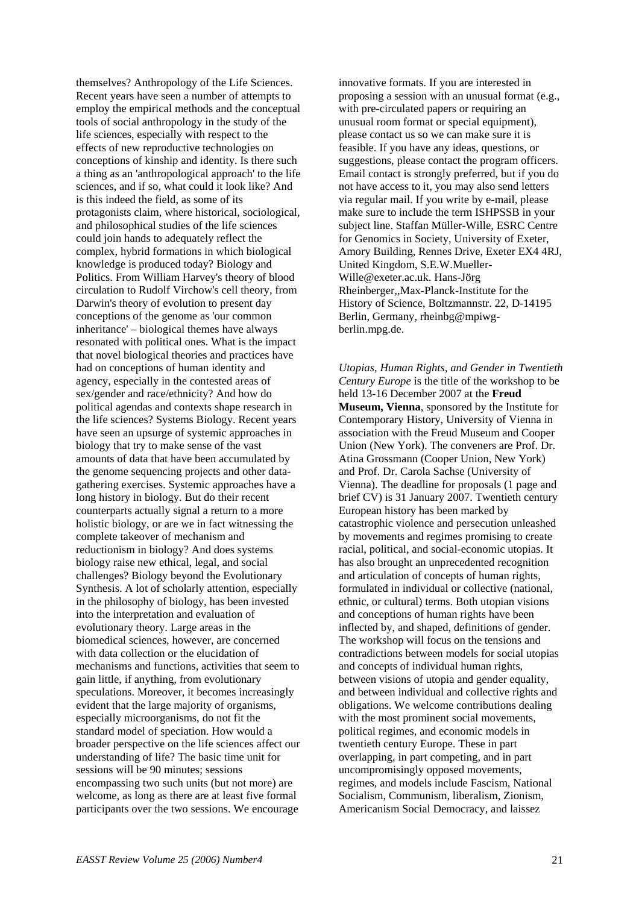themselves? Anthropology of the Life Sciences. Recent years have seen a number of attempts to employ the empirical methods and the conceptual tools of social anthropology in the study of the life sciences, especially with respect to the effects of new reproductive technologies on conceptions of kinship and identity. Is there such a thing as an 'anthropological approach' to the life sciences, and if so, what could it look like? And is this indeed the field, as some of its protagonists claim, where historical, sociological, and philosophical studies of the life sciences could join hands to adequately reflect the complex, hybrid formations in which biological knowledge is produced today? Biology and Politics. From William Harvey's theory of blood circulation to Rudolf Virchow's cell theory, from Darwin's theory of evolution to present day conceptions of the genome as 'our common inheritance' – biological themes have always resonated with political ones. What is the impact that novel biological theories and practices have had on conceptions of human identity and agency, especially in the contested areas of sex/gender and race/ethnicity? And how do political agendas and contexts shape research in the life sciences? Systems Biology. Recent years have seen an upsurge of systemic approaches in biology that try to make sense of the vast amounts of data that have been accumulated by the genome sequencing projects and other datagathering exercises. Systemic approaches have a long history in biology. But do their recent counterparts actually signal a return to a more holistic biology, or are we in fact witnessing the complete takeover of mechanism and reductionism in biology? And does systems biology raise new ethical, legal, and social challenges? Biology beyond the Evolutionary Synthesis. A lot of scholarly attention, especially in the philosophy of biology, has been invested into the interpretation and evaluation of evolutionary theory. Large areas in the biomedical sciences, however, are concerned with data collection or the elucidation of mechanisms and functions, activities that seem to gain little, if anything, from evolutionary speculations. Moreover, it becomes increasingly evident that the large majority of organisms, especially microorganisms, do not fit the standard model of speciation. How would a broader perspective on the life sciences affect our understanding of life? The basic time unit for sessions will be 90 minutes; sessions encompassing two such units (but not more) are welcome, as long as there are at least five formal participants over the two sessions. We encourage

innovative formats. If you are interested in proposing a session with an unusual format (e.g., with pre-circulated papers or requiring an unusual room format or special equipment), please contact us so we can make sure it is feasible. If you have any ideas, questions, or suggestions, please contact the program officers. Email contact is strongly preferred, but if you do not have access to it, you may also send letters via regular mail. If you write by e-mail, please make sure to include the term ISHPSSB in your subject line. Staffan Müller-Wille, ESRC Centre for Genomics in Society, University of Exeter, Amory Building, Rennes Drive, Exeter EX4 4RJ, United Kingdom, S.E.W.Mueller-Wille@exeter.ac.uk. Hans-Jörg Rheinberger,,Max-Planck-Institute for the History of Science, Boltzmannstr. 22, D-14195 Berlin, Germany, rheinbg@mpiwgberlin.mpg.de.

*Utopias, Human Rights, and Gender in Twentieth Century Europe* is the title of the workshop to be held 13-16 December 2007 at the **Freud Museum, Vienna**, sponsored by the Institute for Contemporary History, University of Vienna in association with the Freud Museum and Cooper Union (New York). The conveners are Prof. Dr. Atina Grossmann (Cooper Union, New York) and Prof. Dr. Carola Sachse (University of Vienna). The deadline for proposals (1 page and brief CV) is 31 January 2007. Twentieth century European history has been marked by catastrophic violence and persecution unleashed by movements and regimes promising to create racial, political, and social-economic utopias. It has also brought an unprecedented recognition and articulation of concepts of human rights, formulated in individual or collective (national, ethnic, or cultural) terms. Both utopian visions and conceptions of human rights have been inflected by, and shaped, definitions of gender. The workshop will focus on the tensions and contradictions between models for social utopias and concepts of individual human rights, between visions of utopia and gender equality, and between individual and collective rights and obligations. We welcome contributions dealing with the most prominent social movements, political regimes, and economic models in twentieth century Europe. These in part overlapping, in part competing, and in part uncompromisingly opposed movements, regimes, and models include Fascism, National Socialism, Communism, liberalism, Zionism, Americanism Social Democracy, and laissez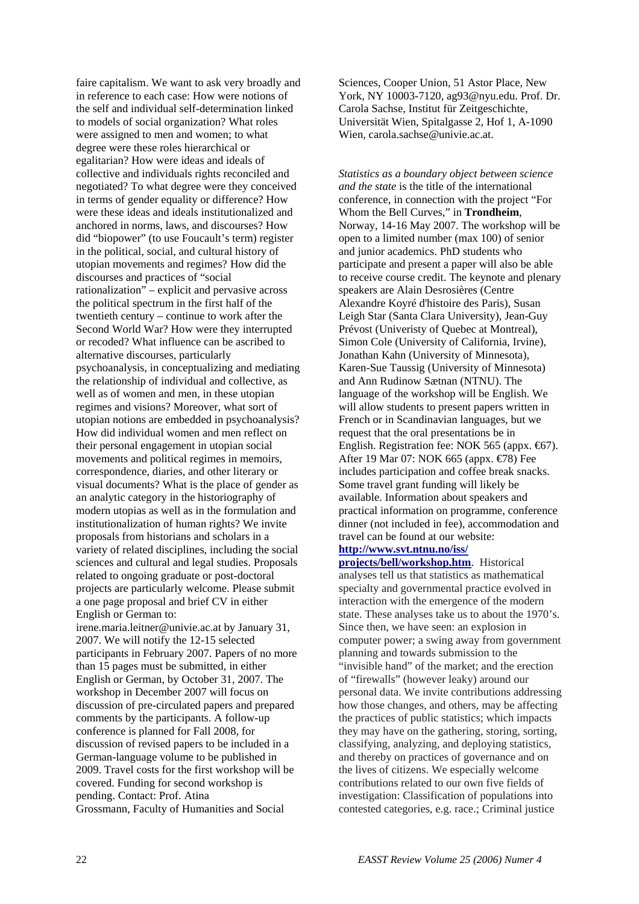faire capitalism. We want to ask very broadly and in reference to each case: How were notions of the self and individual self-determination linked to models of social organization? What roles were assigned to men and women; to what degree were these roles hierarchical or egalitarian? How were ideas and ideals of collective and individuals rights reconciled and negotiated? To what degree were they conceived in terms of gender equality or difference? How were these ideas and ideals institutionalized and anchored in norms, laws, and discourses? How did "biopower" (to use Foucault's term) register in the political, social, and cultural history of utopian movements and regimes? How did the discourses and practices of "social rationalization" – explicit and pervasive across the political spectrum in the first half of the twentieth century – continue to work after the Second World War? How were they interrupted or recoded? What influence can be ascribed to alternative discourses, particularly psychoanalysis, in conceptualizing and mediating the relationship of individual and collective, as well as of women and men, in these utopian regimes and visions? Moreover, what sort of utopian notions are embedded in psychoanalysis? How did individual women and men reflect on their personal engagement in utopian social movements and political regimes in memoirs, correspondence, diaries, and other literary or visual documents? What is the place of gender as an analytic category in the historiography of modern utopias as well as in the formulation and institutionalization of human rights? We invite proposals from historians and scholars in a variety of related disciplines, including the social sciences and cultural and legal studies. Proposals related to ongoing graduate or post-doctoral projects are particularly welcome. Please submit a one page proposal and brief CV in either English or German to: irene.maria.leitner@univie.ac.at by January 31, 2007. We will notify the 12-15 selected participants in February 2007. Papers of no more than 15 pages must be submitted, in either English or German, by October 31, 2007. The workshop in December 2007 will focus on discussion of pre-circulated papers and prepared comments by the participants. A follow-up

conference is planned for Fall 2008, for discussion of revised papers to be included in a German-language volume to be published in 2009. Travel costs for the first workshop will be covered. Funding for second workshop is

Grossmann, Faculty of Humanities and Social

pending. Contact: Prof. Atina

Sciences, Cooper Union, 51 Astor Place, New York, NY 10003-7120, ag93@nyu.edu. Prof. Dr. Carola Sachse, Institut für Zeitgeschichte, Universität Wien, Spitalgasse 2, Hof 1, A-1090 Wien, carola.sachse@univie.ac.at.

*Statistics as a boundary object between science and the state* is the title of the international conference, in connection with the project "For Whom the Bell Curves," in **Trondheim**, Norway, 14-16 May 2007. The workshop will be open to a limited number (max 100) of senior and junior academics. PhD students who participate and present a paper will also be able to receive course credit. The keynote and plenary speakers are Alain Desrosières (Centre Alexandre Koyré d'histoire des Paris), Susan Leigh Star (Santa Clara University), Jean-Guy Prévost (Univeristy of Quebec at Montreal), Simon Cole (University of California, Irvine), Jonathan Kahn (University of Minnesota), Karen-Sue Taussig (University of Minnesota) and Ann Rudinow Sætnan (NTNU). The language of the workshop will be English. We will allow students to present papers written in French or in Scandinavian languages, but we request that the oral presentations be in English. Registration fee: NOK 565 (appx.  $\bigoplus$ 7). After 19 Mar 07: NOK 665 (appx. €78) Fee includes participation and coffee break snacks. Some travel grant funding will likely be available. Information about speakers and practical information on programme, conference dinner (not included in fee), accommodation and travel can be found at our website:

### **[http://www.svt.ntnu.no/iss/](http://www.svt.ntnu.no/iss/%20projects/bell/workshop.htm)**

**[projects/bell/workshop.htm](http://www.svt.ntnu.no/iss/%20projects/bell/workshop.htm)**. Historical analyses tell us that statistics as mathematical specialty and governmental practice evolved in interaction with the emergence of the modern state. These analyses take us to about the 1970's. Since then, we have seen: an explosion in computer power; a swing away from government planning and towards submission to the "invisible hand" of the market; and the erection of "firewalls" (however leaky) around our personal data. We invite contributions addressing how those changes, and others, may be affecting the practices of public statistics; which impacts they may have on the gathering, storing, sorting, classifying, analyzing, and deploying statistics, and thereby on practices of governance and on the lives of citizens. We especially welcome contributions related to our own five fields of investigation: Classification of populations into contested categories, e.g. race.; Criminal justice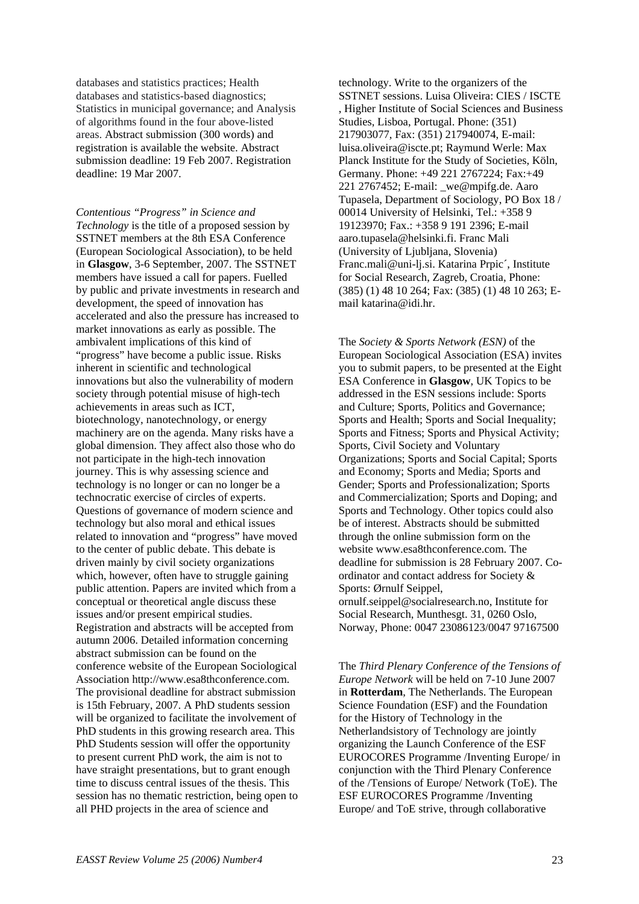databases and statistics practices; Health databases and statistics-based diagnostics; Statistics in municipal governance; and Analysis of algorithms found in the four above-listed areas. Abstract submission (300 words) and registration is available the website. Abstract submission deadline: 19 Feb 2007. Registration deadline: 19 Mar 2007.

*Contentious "Progress" in Science and Technology* is the title of a proposed session by SSTNET members at the 8th ESA Conference (European Sociological Association), to be held in **Glasgow**, 3-6 September, 2007. The SSTNET members have issued a call for papers. Fuelled by public and private investments in research and development, the speed of innovation has accelerated and also the pressure has increased to market innovations as early as possible. The ambivalent implications of this kind of "progress" have become a public issue. Risks inherent in scientific and technological innovations but also the vulnerability of modern society through potential misuse of high-tech achievements in areas such as ICT, biotechnology, nanotechnology, or energy machinery are on the agenda. Many risks have a global dimension. They affect also those who do not participate in the high-tech innovation journey. This is why assessing science and technology is no longer or can no longer be a technocratic exercise of circles of experts. Questions of governance of modern science and technology but also moral and ethical issues related to innovation and "progress" have moved to the center of public debate. This debate is driven mainly by civil society organizations which, however, often have to struggle gaining public attention. Papers are invited which from a conceptual or theoretical angle discuss these issues and/or present empirical studies. Registration and abstracts will be accepted from autumn 2006. Detailed information concerning abstract submission can be found on the conference website of the European Sociological Association http://www.esa8thconference.com. The provisional deadline for abstract submission is 15th February, 2007. A PhD students session will be organized to facilitate the involvement of PhD students in this growing research area. This PhD Students session will offer the opportunity to present current PhD work, the aim is not to have straight presentations, but to grant enough time to discuss central issues of the thesis. This session has no thematic restriction, being open to all PHD projects in the area of science and

technology. Write to the organizers of the SSTNET sessions. Luisa Oliveira: CIES / ISCTE , Higher Institute of Social Sciences and Business Studies, Lisboa, Portugal. Phone: (351) 217903077, Fax: (351) 217940074, E-mail: luisa.oliveira@iscte.pt; Raymund Werle: Max Planck Institute for the Study of Societies, Köln, Germany. Phone: +49 221 2767224; Fax:+49 221 2767452; E-mail: we@mpifg.de. Aaro Tupasela, Department of Sociology, PO Box 18 / 00014 University of Helsinki, Tel.: +358 9 19123970; Fax.: +358 9 191 2396; E-mail aaro.tupasela@helsinki.fi. Franc Mali (University of Ljubljana, Slovenia) Franc.mali@uni-lj.si. Katarina Prpic´, Institute for Social Research, Zagreb, Croatia, Phone: (385) (1) 48 10 264; Fax: (385) (1) 48 10 263; Email katarina@idi.hr.

The *Society & Sports Network (ESN)* of the European Sociological Association (ESA) invites you to submit papers, to be presented at the Eight ESA Conference in **Glasgow**, UK Topics to be addressed in the ESN sessions include: Sports and Culture; Sports, Politics and Governance; Sports and Health; Sports and Social Inequality; Sports and Fitness; Sports and Physical Activity; Sports, Civil Society and Voluntary Organizations; Sports and Social Capital; Sports and Economy; Sports and Media; Sports and Gender; Sports and Professionalization; Sports and Commercialization; Sports and Doping; and Sports and Technology. Other topics could also be of interest. Abstracts should be submitted through the online submission form on the website www.esa8thconference.com. The deadline for submission is 28 February 2007. Coordinator and contact address for Society & Sports: Ørnulf Seippel, ornulf.seippel@socialresearch.no, Institute for Social Research, Munthesgt. 31, 0260 Oslo, Norway, Phone: 0047 23086123/0047 97167500

The *Third Plenary Conference of the Tensions of Europe Network* will be held on 7-10 June 2007 in **Rotterdam**, The Netherlands. The European Science Foundation (ESF) and the Foundation for the History of Technology in the Netherlandsistory of Technology are jointly organizing the Launch Conference of the ESF EUROCORES Programme /Inventing Europe/ in conjunction with the Third Plenary Conference of the /Tensions of Europe/ Network (ToE). The ESF EUROCORES Programme /Inventing Europe/ and ToE strive, through collaborative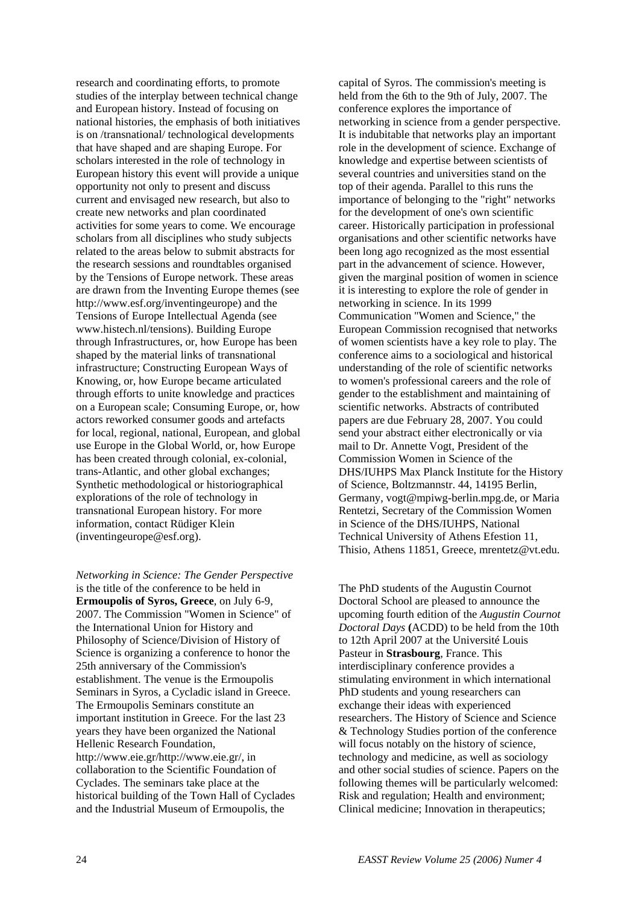research and coordinating efforts, to promote studies of the interplay between technical change and European history. Instead of focusing on national histories, the emphasis of both initiatives is on /transnational/ technological developments that have shaped and are shaping Europe. For scholars interested in the role of technology in European history this event will provide a unique opportunity not only to present and discuss current and envisaged new research, but also to create new networks and plan coordinated activities for some years to come. We encourage scholars from all disciplines who study subjects related to the areas below to submit abstracts for the research sessions and roundtables organised by the Tensions of Europe network. These areas are drawn from the Inventing Europe themes (see http://www.esf.org/inventingeurope) and the Tensions of Europe Intellectual Agenda (see www.histech.nl/tensions). Building Europe through Infrastructures, or, how Europe has been shaped by the material links of transnational infrastructure; Constructing European Ways of Knowing, or, how Europe became articulated through efforts to unite knowledge and practices on a European scale; Consuming Europe, or, how actors reworked consumer goods and artefacts for local, regional, national, European, and global use Europe in the Global World, or, how Europe has been created through colonial, ex-colonial, trans-Atlantic, and other global exchanges; Synthetic methodological or historiographical explorations of the role of technology in transnational European history. For more information, contact Rüdiger Klein (inventingeurope@esf.org).

*Networking in Science: The Gender Perspective* is the title of the conference to be held in **Ermoupolis of Syros, Greece**, on July 6-9, 2007. The Commission "Women in Science" of the International Union for History and Philosophy of Science/Division of History of Science is organizing a conference to honor the 25th anniversary of the Commission's establishment. The venue is the Ermoupolis Seminars in Syros, a Cycladic island in Greece. The Ermoupolis Seminars constitute an important institution in Greece. For the last 23 years they have been organized the National Hellenic Research Foundation, http://www.eie.gr/http://www.eie.gr/, in collaboration to the Scientific Foundation of Cyclades. The seminars take place at the historical building of the Town Hall of Cyclades and the Industrial Museum of Ermoupolis, the

capital of Syros. The commission's meeting is held from the 6th to the 9th of July, 2007. The conference explores the importance of networking in science from a gender perspective. It is indubitable that networks play an important role in the development of science. Exchange of knowledge and expertise between scientists of several countries and universities stand on the top of their agenda. Parallel to this runs the importance of belonging to the "right" networks for the development of one's own scientific career. Historically participation in professional organisations and other scientific networks have been long ago recognized as the most essential part in the advancement of science. However, given the marginal position of women in science it is interesting to explore the role of gender in networking in science. In its 1999 Communication "Women and Science," the European Commission recognised that networks of women scientists have a key role to play. The conference aims to a sociological and historical understanding of the role of scientific networks to women's professional careers and the role of gender to the establishment and maintaining of scientific networks. Abstracts of contributed papers are due February 28, 2007. You could send your abstract either electronically or via mail to Dr. Annette Vogt, President of the Commission Women in Science of the DHS/IUHPS Max Planck Institute for the History of Science, Boltzmannstr. 44, 14195 Berlin, Germany, vogt@mpiwg-berlin.mpg.de, or Maria Rentetzi, Secretary of the Commission Women in Science of the DHS/IUHPS, National Technical University of Athens Efestion 11, Thisio, Athens 11851, Greece, mrentetz@vt.edu.

The PhD students of the Augustin Cournot Doctoral School are pleased to announce the upcoming fourth edition of the *Augustin Cournot Doctoral Days* **(**ACDD) to be held from the 10th to 12th April 2007 at the Université Louis Pasteur in **Strasbourg**, France. This interdisciplinary conference provides a stimulating environment in which international PhD students and young researchers can exchange their ideas with experienced researchers. The History of Science and Science & Technology Studies portion of the conference will focus notably on the history of science, technology and medicine, as well as sociology and other social studies of science. Papers on the following themes will be particularly welcomed: Risk and regulation; Health and environment; Clinical medicine; Innovation in therapeutics;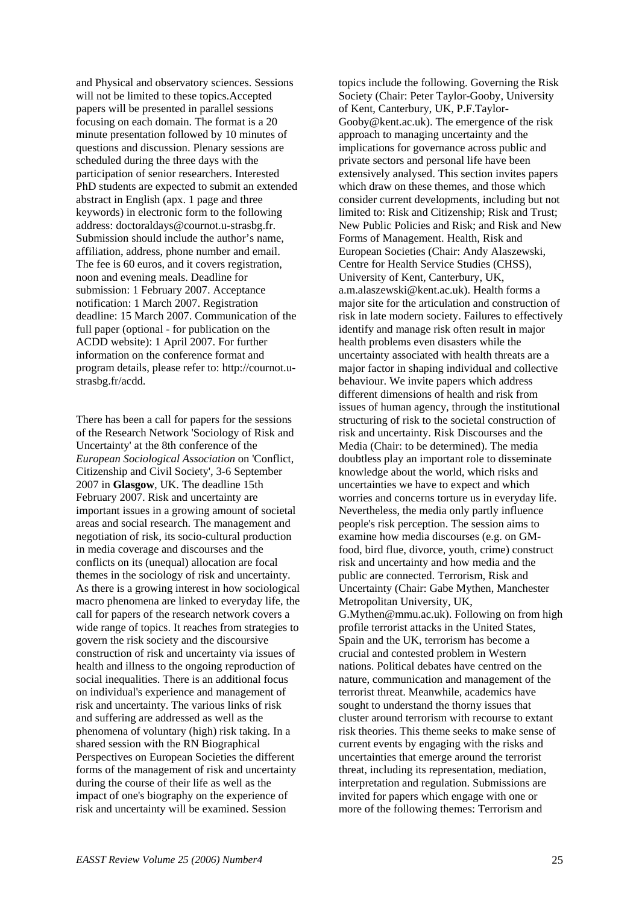and Physical and observatory sciences. Sessions will not be limited to these topics.Accepted papers will be presented in parallel sessions focusing on each domain. The format is a 20 minute presentation followed by 10 minutes of questions and discussion. Plenary sessions are scheduled during the three days with the participation of senior researchers. Interested PhD students are expected to submit an extended abstract in English (apx. 1 page and three keywords) in electronic form to the following address: doctoraldays@cournot.u-strasbg.fr. Submission should include the author's name, affiliation, address, phone number and email. The fee is 60 euros, and it covers registration, noon and evening meals. Deadline for submission: 1 February 2007. Acceptance notification: 1 March 2007. Registration deadline: 15 March 2007. Communication of the full paper (optional - for publication on the ACDD website): 1 April 2007. For further information on the conference format and program details, please refer to: http://cournot.ustrasbg.fr/acdd.

There has been a call for papers for the sessions of the Research Network 'Sociology of Risk and Uncertainty' at the 8th conference of the *European Sociological Association* on 'Conflict, Citizenship and Civil Society', 3-6 September 2007 in **Glasgow**, UK. The deadline 15th February 2007. Risk and uncertainty are important issues in a growing amount of societal areas and social research. The management and negotiation of risk, its socio-cultural production in media coverage and discourses and the conflicts on its (unequal) allocation are focal themes in the sociology of risk and uncertainty. As there is a growing interest in how sociological macro phenomena are linked to everyday life, the call for papers of the research network covers a wide range of topics. It reaches from strategies to govern the risk society and the discoursive construction of risk and uncertainty via issues of health and illness to the ongoing reproduction of social inequalities. There is an additional focus on individual's experience and management of risk and uncertainty. The various links of risk and suffering are addressed as well as the phenomena of voluntary (high) risk taking. In a shared session with the RN Biographical Perspectives on European Societies the different forms of the management of risk and uncertainty during the course of their life as well as the impact of one's biography on the experience of risk and uncertainty will be examined. Session

topics include the following. Governing the Risk Society (Chair: Peter Taylor-Gooby, University of Kent, Canterbury, UK, P.F.Taylor-Gooby@kent.ac.uk). The emergence of the risk approach to managing uncertainty and the implications for governance across public and private sectors and personal life have been extensively analysed. This section invites papers which draw on these themes, and those which consider current developments, including but not limited to: Risk and Citizenship; Risk and Trust; New Public Policies and Risk; and Risk and New Forms of Management. Health, Risk and European Societies (Chair: Andy Alaszewski, Centre for Health Service Studies (CHSS), University of Kent, Canterbury, UK, a.m.alaszewski@kent.ac.uk). Health forms a major site for the articulation and construction of risk in late modern society. Failures to effectively identify and manage risk often result in major health problems even disasters while the uncertainty associated with health threats are a major factor in shaping individual and collective behaviour. We invite papers which address different dimensions of health and risk from issues of human agency, through the institutional structuring of risk to the societal construction of risk and uncertainty. Risk Discourses and the Media (Chair: to be determined). The media doubtless play an important role to disseminate knowledge about the world, which risks and uncertainties we have to expect and which worries and concerns torture us in everyday life. Nevertheless, the media only partly influence people's risk perception. The session aims to examine how media discourses (e.g. on GMfood, bird flue, divorce, youth, crime) construct risk and uncertainty and how media and the public are connected. Terrorism, Risk and Uncertainty (Chair: Gabe Mythen, Manchester Metropolitan University, UK, G.Mythen@mmu.ac.uk). Following on from high profile terrorist attacks in the United States, Spain and the UK, terrorism has become a crucial and contested problem in Western nations. Political debates have centred on the nature, communication and management of the terrorist threat. Meanwhile, academics have sought to understand the thorny issues that cluster around terrorism with recourse to extant risk theories. This theme seeks to make sense of current events by engaging with the risks and uncertainties that emerge around the terrorist threat, including its representation, mediation, interpretation and regulation. Submissions are invited for papers which engage with one or more of the following themes: Terrorism and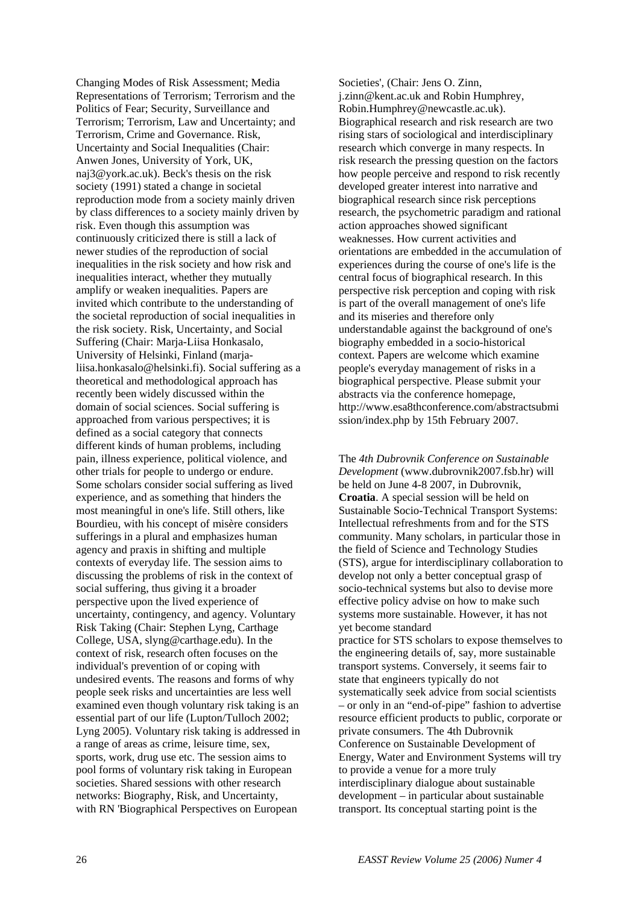Changing Modes of Risk Assessment; Media Representations of Terrorism; Terrorism and the Politics of Fear; Security, Surveillance and Terrorism; Terrorism, Law and Uncertainty; and Terrorism, Crime and Governance. Risk, Uncertainty and Social Inequalities (Chair: Anwen Jones, University of York, UK, naj3@york.ac.uk). Beck's thesis on the risk society (1991) stated a change in societal reproduction mode from a society mainly driven by class differences to a society mainly driven by risk. Even though this assumption was continuously criticized there is still a lack of newer studies of the reproduction of social inequalities in the risk society and how risk and inequalities interact, whether they mutually amplify or weaken inequalities. Papers are invited which contribute to the understanding of the societal reproduction of social inequalities in the risk society. Risk, Uncertainty, and Social Suffering (Chair: Marja-Liisa Honkasalo, University of Helsinki, Finland (marjaliisa.honkasalo@helsinki.fi). Social suffering as a theoretical and methodological approach has recently been widely discussed within the domain of social sciences. Social suffering is approached from various perspectives; it is defined as a social category that connects different kinds of human problems, including pain, illness experience, political violence, and other trials for people to undergo or endure. Some scholars consider social suffering as lived experience, and as something that hinders the most meaningful in one's life. Still others, like Bourdieu, with his concept of misère considers sufferings in a plural and emphasizes human agency and praxis in shifting and multiple contexts of everyday life. The session aims to discussing the problems of risk in the context of social suffering, thus giving it a broader perspective upon the lived experience of uncertainty, contingency, and agency. Voluntary Risk Taking (Chair: Stephen Lyng, Carthage College, USA, slyng@carthage.edu). In the context of risk, research often focuses on the individual's prevention of or coping with undesired events. The reasons and forms of why people seek risks and uncertainties are less well examined even though voluntary risk taking is an essential part of our life (Lupton/Tulloch 2002; Lyng 2005). Voluntary risk taking is addressed in a range of areas as crime, leisure time, sex, sports, work, drug use etc. The session aims to pool forms of voluntary risk taking in European societies. Shared sessions with other research networks: Biography, Risk, and Uncertainty, with RN 'Biographical Perspectives on European

Societies', (Chair: Jens O. Zinn, j.zinn@kent.ac.uk and Robin Humphrey, Robin.Humphrey@newcastle.ac.uk). Biographical research and risk research are two rising stars of sociological and interdisciplinary research which converge in many respects. In risk research the pressing question on the factors how people perceive and respond to risk recently developed greater interest into narrative and biographical research since risk perceptions research, the psychometric paradigm and rational action approaches showed significant weaknesses. How current activities and orientations are embedded in the accumulation of experiences during the course of one's life is the central focus of biographical research. In this perspective risk perception and coping with risk is part of the overall management of one's life and its miseries and therefore only understandable against the background of one's biography embedded in a socio-historical context. Papers are welcome which examine people's everyday management of risks in a biographical perspective. Please submit your abstracts via the conference homepage, http://www.esa8thconference.com/abstractsubmi ssion/index.php by 15th February 2007.

The *4th Dubrovnik Conference on Sustainable Development* (www.dubrovnik2007.fsb.hr) will be held on June 4-8 2007, in Dubrovnik, **Croatia**. A special session will be held on Sustainable Socio-Technical Transport Systems: Intellectual refreshments from and for the STS community. Many scholars, in particular those in the field of Science and Technology Studies (STS), argue for interdisciplinary collaboration to develop not only a better conceptual grasp of socio-technical systems but also to devise more effective policy advise on how to make such systems more sustainable. However, it has not yet become standard

practice for STS scholars to expose themselves to the engineering details of, say, more sustainable transport systems. Conversely, it seems fair to state that engineers typically do not systematically seek advice from social scientists – or only in an "end-of-pipe" fashion to advertise resource efficient products to public, corporate or private consumers. The 4th Dubrovnik Conference on Sustainable Development of Energy, Water and Environment Systems will try to provide a venue for a more truly interdisciplinary dialogue about sustainable development – in particular about sustainable transport. Its conceptual starting point is the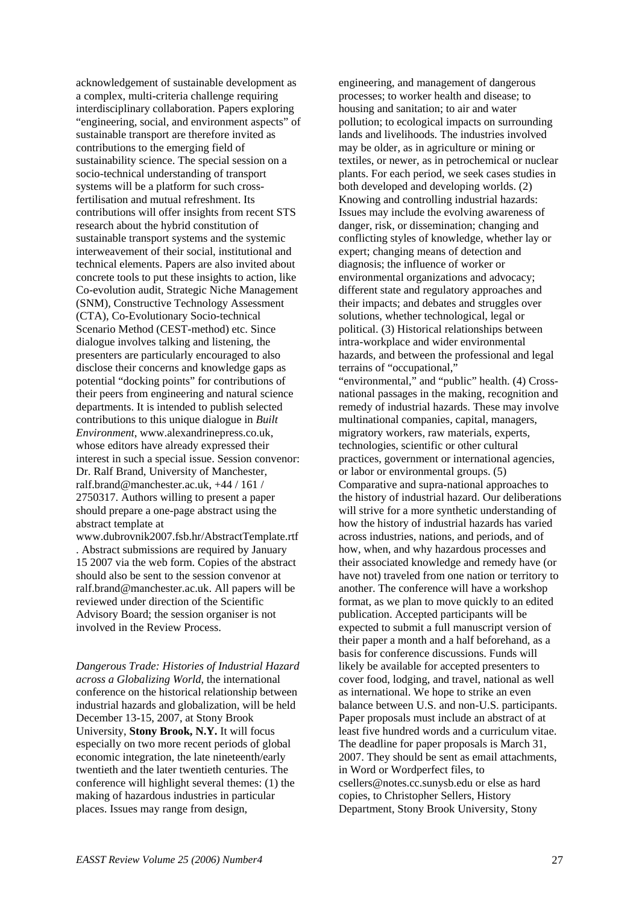acknowledgement of sustainable development as a complex, multi-criteria challenge requiring interdisciplinary collaboration. Papers exploring "engineering, social, and environment aspects" of sustainable transport are therefore invited as contributions to the emerging field of sustainability science. The special session on a socio-technical understanding of transport systems will be a platform for such crossfertilisation and mutual refreshment. Its contributions will offer insights from recent STS research about the hybrid constitution of sustainable transport systems and the systemic interweavement of their social, institutional and technical elements. Papers are also invited about concrete tools to put these insights to action, like Co-evolution audit, Strategic Niche Management (SNM), Constructive Technology Assessment (CTA), Co-Evolutionary Socio-technical Scenario Method (CEST-method) etc. Since dialogue involves talking and listening, the presenters are particularly encouraged to also disclose their concerns and knowledge gaps as potential "docking points" for contributions of their peers from engineering and natural science departments. It is intended to publish selected contributions to this unique dialogue in *Built Environment*, www.alexandrinepress.co.uk, whose editors have already expressed their interest in such a special issue. Session convenor: Dr. Ralf Brand, University of Manchester, ralf.brand@manchester.ac.uk, +44 / 161 / 2750317. Authors willing to present a paper should prepare a one-page abstract using the abstract template at

www.dubrovnik2007.fsb.hr/AbstractTemplate.rtf . Abstract submissions are required by January 15 2007 via the web form. Copies of the abstract should also be sent to the session convenor at ralf.brand@manchester.ac.uk. All papers will be reviewed under direction of the Scientific Advisory Board; the session organiser is not involved in the Review Process.

*Dangerous Trade: Histories of Industrial Hazard across a Globalizing World*, the international conference on the historical relationship between industrial hazards and globalization, will be held December 13-15, 2007, at Stony Brook University, **Stony Brook, N.Y.** It will focus especially on two more recent periods of global economic integration, the late nineteenth/early twentieth and the later twentieth centuries. The conference will highlight several themes: (1) the making of hazardous industries in particular places. Issues may range from design,

engineering, and management of dangerous processes; to worker health and disease; to housing and sanitation; to air and water pollution; to ecological impacts on surrounding lands and livelihoods. The industries involved may be older, as in agriculture or mining or textiles, or newer, as in petrochemical or nuclear plants. For each period, we seek cases studies in both developed and developing worlds. (2) Knowing and controlling industrial hazards: Issues may include the evolving awareness of danger, risk, or dissemination; changing and conflicting styles of knowledge, whether lay or expert; changing means of detection and diagnosis; the influence of worker or environmental organizations and advocacy; different state and regulatory approaches and their impacts; and debates and struggles over solutions, whether technological, legal or political. (3) Historical relationships between intra-workplace and wider environmental hazards, and between the professional and legal terrains of "occupational," "environmental," and "public" health. (4) Crossnational passages in the making, recognition and remedy of industrial hazards. These may involve multinational companies, capital, managers, migratory workers, raw materials, experts, technologies, scientific or other cultural practices, government or international agencies, or labor or environmental groups. (5) Comparative and supra-national approaches to the history of industrial hazard. Our deliberations will strive for a more synthetic understanding of how the history of industrial hazards has varied across industries, nations, and periods, and of how, when, and why hazardous processes and their associated knowledge and remedy have (or

have not) traveled from one nation or territory to another. The conference will have a workshop format, as we plan to move quickly to an edited publication. Accepted participants will be expected to submit a full manuscript version of their paper a month and a half beforehand, as a basis for conference discussions. Funds will likely be available for accepted presenters to cover food, lodging, and travel, national as well as international. We hope to strike an even balance between U.S. and non-U.S. participants. Paper proposals must include an abstract of at least five hundred words and a curriculum vitae. The deadline for paper proposals is March 31, 2007. They should be sent as email attachments, in Word or Wordperfect files, to csellers@notes.cc.sunysb.edu or else as hard copies, to Christopher Sellers, History

Department, Stony Brook University, Stony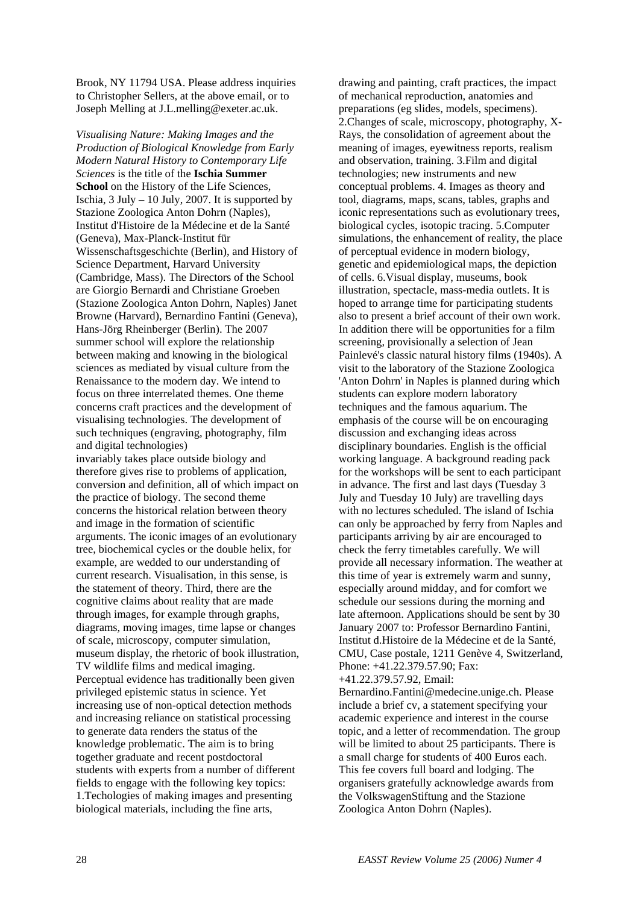Brook, NY 11794 USA. Please address inquiries to Christopher Sellers, at the above email, or to Joseph Melling at J.L.melling@exeter.ac.uk.

*Visualising Nature: Making Images and the Production of Biological Knowledge from Early Modern Natural History to Contemporary Life Sciences* is the title of the **Ischia Summer School** on the History of the Life Sciences, Ischia,  $3$  July – 10 July, 2007. It is supported by Stazione Zoologica Anton Dohrn (Naples), Institut d'Histoire de la Médecine et de la Santé (Geneva), Max-Planck-Institut für Wissenschaftsgeschichte (Berlin), and History of Science Department, Harvard University (Cambridge, Mass). The Directors of the School are Giorgio Bernardi and Christiane Groeben (Stazione Zoologica Anton Dohrn, Naples) Janet Browne (Harvard), Bernardino Fantini (Geneva), Hans-Jörg Rheinberger (Berlin). The 2007 summer school will explore the relationship between making and knowing in the biological sciences as mediated by visual culture from the Renaissance to the modern day. We intend to focus on three interrelated themes. One theme concerns craft practices and the development of visualising technologies. The development of such techniques (engraving, photography, film and digital technologies) invariably takes place outside biology and therefore gives rise to problems of application, conversion and definition, all of which impact on the practice of biology. The second theme concerns the historical relation between theory and image in the formation of scientific arguments. The iconic images of an evolutionary tree, biochemical cycles or the double helix, for example, are wedded to our understanding of current research. Visualisation, in this sense, is the statement of theory. Third, there are the cognitive claims about reality that are made through images, for example through graphs, diagrams, moving images, time lapse or changes

of scale, microscopy, computer simulation, museum display, the rhetoric of book illustration, TV wildlife films and medical imaging. Perceptual evidence has traditionally been given privileged epistemic status in science. Yet increasing use of non-optical detection methods and increasing reliance on statistical processing to generate data renders the status of the knowledge problematic. The aim is to bring together graduate and recent postdoctoral students with experts from a number of different fields to engage with the following key topics: 1.Techologies of making images and presenting biological materials, including the fine arts,

drawing and painting, craft practices, the impact of mechanical reproduction, anatomies and preparations (eg slides, models, specimens). 2.Changes of scale, microscopy, photography, X-Rays, the consolidation of agreement about the meaning of images, eyewitness reports, realism and observation, training. 3.Film and digital technologies; new instruments and new conceptual problems. 4. Images as theory and tool, diagrams, maps, scans, tables, graphs and iconic representations such as evolutionary trees, biological cycles, isotopic tracing. 5.Computer simulations, the enhancement of reality, the place of perceptual evidence in modern biology, genetic and epidemiological maps, the depiction of cells. 6.Visual display, museums, book illustration, spectacle, mass-media outlets. It is hoped to arrange time for participating students also to present a brief account of their own work. In addition there will be opportunities for a film screening, provisionally a selection of Jean Painlevé's classic natural history films (1940s). A visit to the laboratory of the Stazione Zoologica 'Anton Dohrn' in Naples is planned during which students can explore modern laboratory techniques and the famous aquarium. The emphasis of the course will be on encouraging discussion and exchanging ideas across disciplinary boundaries. English is the official working language. A background reading pack for the workshops will be sent to each participant in advance. The first and last days (Tuesday 3 July and Tuesday 10 July) are travelling days with no lectures scheduled. The island of Ischia can only be approached by ferry from Naples and participants arriving by air are encouraged to check the ferry timetables carefully. We will provide all necessary information. The weather at this time of year is extremely warm and sunny, especially around midday, and for comfort we schedule our sessions during the morning and late afternoon. Applications should be sent by 30 January 2007 to: Professor Bernardino Fantini, Institut d.Histoire de la Médecine et de la Santé, CMU, Case postale, 1211 Genève 4, Switzerland, Phone: +41.22.379.57.90; Fax:

+41.22.379.57.92, Email:

Bernardino.Fantini@medecine.unige.ch. Please include a brief cv, a statement specifying your academic experience and interest in the course topic, and a letter of recommendation. The group will be limited to about 25 participants. There is a small charge for students of 400 Euros each. This fee covers full board and lodging. The organisers gratefully acknowledge awards from the VolkswagenStiftung and the Stazione Zoologica Anton Dohrn (Naples).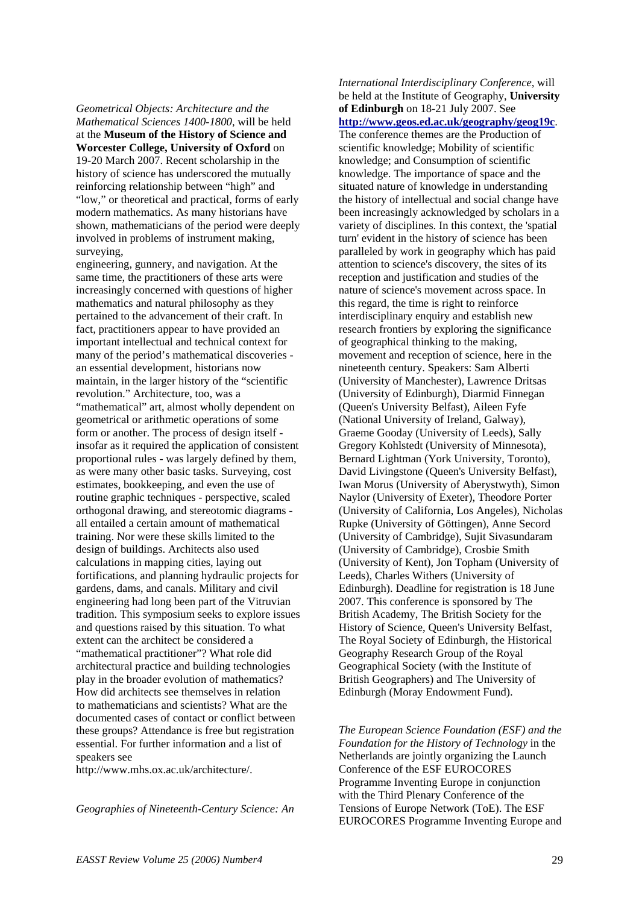*Geometrical Objects: Architecture and the Mathematical Sciences 1400-1800*, will be held at the **Museum of the History of Science and Worcester College, University of Oxford** on 19-20 March 2007. Recent scholarship in the history of science has underscored the mutually reinforcing relationship between "high" and "low," or theoretical and practical, forms of early modern mathematics. As many historians have shown, mathematicians of the period were deeply involved in problems of instrument making, surveying,

engineering, gunnery, and navigation. At the same time, the practitioners of these arts were increasingly concerned with questions of higher mathematics and natural philosophy as they pertained to the advancement of their craft. In fact, practitioners appear to have provided an important intellectual and technical context for many of the period's mathematical discoveries an essential development, historians now maintain, in the larger history of the "scientific revolution." Architecture, too, was a "mathematical" art, almost wholly dependent on geometrical or arithmetic operations of some form or another. The process of design itself insofar as it required the application of consistent proportional rules - was largely defined by them, as were many other basic tasks. Surveying, cost estimates, bookkeeping, and even the use of routine graphic techniques - perspective, scaled orthogonal drawing, and stereotomic diagrams all entailed a certain amount of mathematical training. Nor were these skills limited to the design of buildings. Architects also used calculations in mapping cities, laying out fortifications, and planning hydraulic projects for gardens, dams, and canals. Military and civil engineering had long been part of the Vitruvian tradition. This symposium seeks to explore issues and questions raised by this situation. To what extent can the architect be considered a "mathematical practitioner"? What role did architectural practice and building technologies play in the broader evolution of mathematics? How did architects see themselves in relation to mathematicians and scientists? What are the documented cases of contact or conflict between these groups? Attendance is free but registration essential. For further information and a list of speakers see

http://www.mhs.ox.ac.uk/architecture/.

*Geographies of Nineteenth-Century Science: An* 

*International Interdisciplinary Conference*, will be held at the Institute of Geography, **University of Edinburgh** on 18-21 July 2007. See **<http://www.geos.ed.ac.uk/geography/geog19c>**. The conference themes are the Production of scientific knowledge; Mobility of scientific knowledge; and Consumption of scientific knowledge. The importance of space and the situated nature of knowledge in understanding the history of intellectual and social change have been increasingly acknowledged by scholars in a variety of disciplines. In this context, the 'spatial turn' evident in the history of science has been paralleled by work in geography which has paid attention to science's discovery, the sites of its reception and justification and studies of the nature of science's movement across space. In this regard, the time is right to reinforce interdisciplinary enquiry and establish new research frontiers by exploring the significance of geographical thinking to the making, movement and reception of science, here in the nineteenth century. Speakers: Sam Alberti (University of Manchester), Lawrence Dritsas (University of Edinburgh), Diarmid Finnegan (Queen's University Belfast), Aileen Fyfe (National University of Ireland, Galway), Graeme Gooday (University of Leeds), Sally Gregory Kohlstedt (University of Minnesota), Bernard Lightman (York University, Toronto), David Livingstone (Queen's University Belfast), Iwan Morus (University of Aberystwyth), Simon Naylor (University of Exeter), Theodore Porter (University of California, Los Angeles), Nicholas Rupke (University of Göttingen), Anne Secord (University of Cambridge), Sujit Sivasundaram (University of Cambridge), Crosbie Smith (University of Kent), Jon Topham (University of Leeds), Charles Withers (University of Edinburgh). Deadline for registration is 18 June 2007. This conference is sponsored by The British Academy, The British Society for the History of Science, Queen's University Belfast, The Royal Society of Edinburgh, the Historical Geography Research Group of the Royal Geographical Society (with the Institute of British Geographers) and The University of Edinburgh (Moray Endowment Fund).

*The European Science Foundation (ESF) and the Foundation for the History of Technology* in the Netherlands are jointly organizing the Launch Conference of the ESF EUROCORES Programme Inventing Europe in conjunction with the Third Plenary Conference of the Tensions of Europe Network (ToE). The ESF EUROCORES Programme Inventing Europe and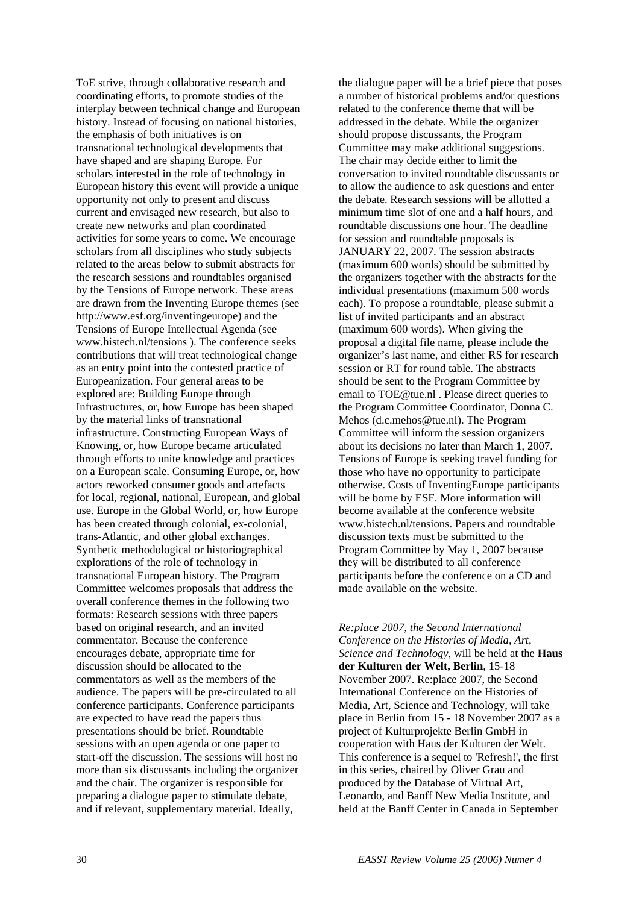ToE strive, through collaborative research and coordinating efforts, to promote studies of the interplay between technical change and European history. Instead of focusing on national histories, the emphasis of both initiatives is on transnational technological developments that have shaped and are shaping Europe. For scholars interested in the role of technology in European history this event will provide a unique opportunity not only to present and discuss current and envisaged new research, but also to create new networks and plan coordinated activities for some years to come. We encourage scholars from all disciplines who study subjects related to the areas below to submit abstracts for the research sessions and roundtables organised by the Tensions of Europe network. These areas are drawn from the Inventing Europe themes (see http://www.esf.org/inventingeurope) and the Tensions of Europe Intellectual Agenda (see www.histech.nl/tensions ). The conference seeks contributions that will treat technological change as an entry point into the contested practice of Europeanization. Four general areas to be explored are: Building Europe through Infrastructures, or, how Europe has been shaped by the material links of transnational infrastructure. Constructing European Ways of Knowing, or, how Europe became articulated through efforts to unite knowledge and practices on a European scale. Consuming Europe, or, how actors reworked consumer goods and artefacts for local, regional, national, European, and global use. Europe in the Global World, or, how Europe has been created through colonial, ex-colonial, trans-Atlantic, and other global exchanges. Synthetic methodological or historiographical explorations of the role of technology in transnational European history. The Program Committee welcomes proposals that address the overall conference themes in the following two formats: Research sessions with three papers based on original research, and an invited commentator. Because the conference encourages debate, appropriate time for discussion should be allocated to the commentators as well as the members of the audience. The papers will be pre-circulated to all conference participants. Conference participants are expected to have read the papers thus presentations should be brief. Roundtable sessions with an open agenda or one paper to start-off the discussion. The sessions will host no more than six discussants including the organizer and the chair. The organizer is responsible for preparing a dialogue paper to stimulate debate, and if relevant, supplementary material. Ideally,

the dialogue paper will be a brief piece that poses a number of historical problems and/or questions related to the conference theme that will be addressed in the debate. While the organizer should propose discussants, the Program Committee may make additional suggestions. The chair may decide either to limit the conversation to invited roundtable discussants or to allow the audience to ask questions and enter the debate. Research sessions will be allotted a minimum time slot of one and a half hours, and roundtable discussions one hour. The deadline for session and roundtable proposals is JANUARY 22, 2007. The session abstracts (maximum 600 words) should be submitted by the organizers together with the abstracts for the individual presentations (maximum 500 words each). To propose a roundtable, please submit a list of invited participants and an abstract (maximum 600 words). When giving the proposal a digital file name, please include the organizer's last name, and either RS for research session or RT for round table. The abstracts should be sent to the Program Committee by email to TOE@tue.nl . Please direct queries to the Program Committee Coordinator, Donna C. Mehos (d.c.mehos@tue.nl). The Program Committee will inform the session organizers about its decisions no later than March 1, 2007. Tensions of Europe is seeking travel funding for those who have no opportunity to participate otherwise. Costs of InventingEurope participants will be borne by ESF. More information will become available at the conference website www.histech.nl/tensions. Papers and roundtable discussion texts must be submitted to the Program Committee by May 1, 2007 because they will be distributed to all conference participants before the conference on a CD and made available on the website.

*Re:place 2007, the Second International Conference on the Histories of Media, Art, Science and Technology*, will be held at the **Haus der Kulturen der Welt, Berlin**, 15-18 November 2007. Re:place 2007, the Second International Conference on the Histories of Media, Art, Science and Technology, will take place in Berlin from 15 - 18 November 2007 as a project of Kulturprojekte Berlin GmbH in cooperation with Haus der Kulturen der Welt. This conference is a sequel to 'Refresh!', the first in this series, chaired by Oliver Grau and produced by the Database of Virtual Art, Leonardo, and Banff New Media Institute, and held at the Banff Center in Canada in September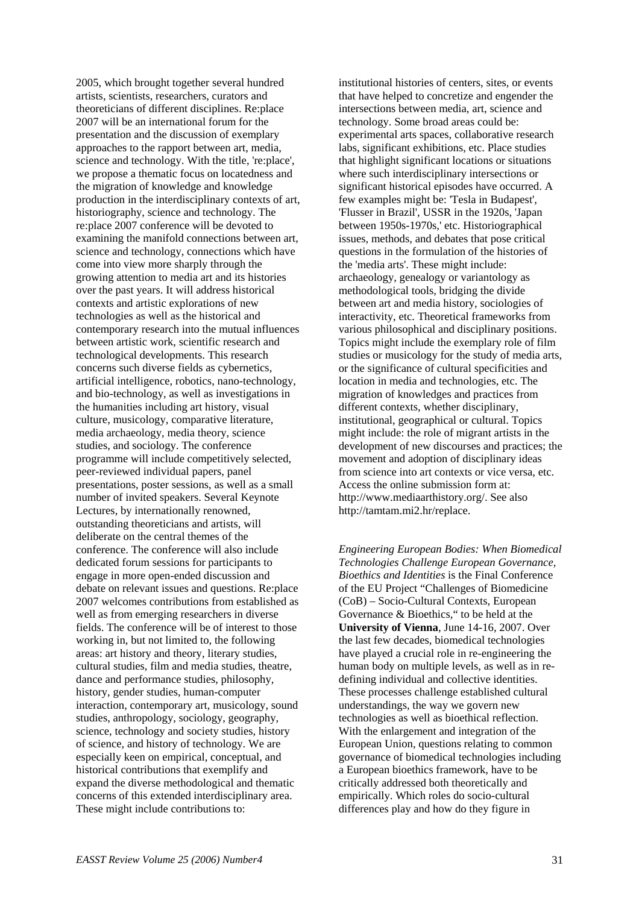2005, which brought together several hundred artists, scientists, researchers, curators and theoreticians of different disciplines. Re:place 2007 will be an international forum for the presentation and the discussion of exemplary approaches to the rapport between art, media, science and technology. With the title, 're:place', we propose a thematic focus on locatedness and the migration of knowledge and knowledge production in the interdisciplinary contexts of art, historiography, science and technology. The re:place 2007 conference will be devoted to examining the manifold connections between art, science and technology, connections which have come into view more sharply through the growing attention to media art and its histories over the past years. It will address historical contexts and artistic explorations of new technologies as well as the historical and contemporary research into the mutual influences between artistic work, scientific research and technological developments. This research concerns such diverse fields as cybernetics, artificial intelligence, robotics, nano-technology, and bio-technology, as well as investigations in the humanities including art history, visual culture, musicology, comparative literature, media archaeology, media theory, science studies, and sociology. The conference programme will include competitively selected, peer-reviewed individual papers, panel presentations, poster sessions, as well as a small number of invited speakers. Several Keynote Lectures, by internationally renowned, outstanding theoreticians and artists, will deliberate on the central themes of the conference. The conference will also include dedicated forum sessions for participants to engage in more open-ended discussion and debate on relevant issues and questions. Re:place 2007 welcomes contributions from established as well as from emerging researchers in diverse fields. The conference will be of interest to those working in, but not limited to, the following areas: art history and theory, literary studies, cultural studies, film and media studies, theatre, dance and performance studies, philosophy, history, gender studies, human-computer interaction, contemporary art, musicology, sound studies, anthropology, sociology, geography, science, technology and society studies, history of science, and history of technology. We are especially keen on empirical, conceptual, and historical contributions that exemplify and expand the diverse methodological and thematic concerns of this extended interdisciplinary area. These might include contributions to:

institutional histories of centers, sites, or events that have helped to concretize and engender the intersections between media, art, science and technology. Some broad areas could be: experimental arts spaces, collaborative research labs, significant exhibitions, etc. Place studies that highlight significant locations or situations where such interdisciplinary intersections or significant historical episodes have occurred. A few examples might be: 'Tesla in Budapest', 'Flusser in Brazil', USSR in the 1920s, 'Japan between 1950s-1970s,' etc. Historiographical issues, methods, and debates that pose critical questions in the formulation of the histories of the 'media arts'. These might include: archaeology, genealogy or variantology as methodological tools, bridging the divide between art and media history, sociologies of interactivity, etc. Theoretical frameworks from various philosophical and disciplinary positions. Topics might include the exemplary role of film studies or musicology for the study of media arts, or the significance of cultural specificities and location in media and technologies, etc. The migration of knowledges and practices from different contexts, whether disciplinary, institutional, geographical or cultural. Topics might include: the role of migrant artists in the development of new discourses and practices; the movement and adoption of disciplinary ideas from science into art contexts or vice versa, etc. Access the online submission form at: http://www.mediaarthistory.org/. See also http://tamtam.mi2.hr/replace.

*Engineering European Bodies: When Biomedical Technologies Challenge European Governance, Bioethics and Identities* is the Final Conference of the EU Project "Challenges of Biomedicine (CoB) – Socio-Cultural Contexts, European Governance & Bioethics," to be held at the **University of Vienna**, June 14-16, 2007. Over the last few decades, biomedical technologies have played a crucial role in re-engineering the human body on multiple levels, as well as in redefining individual and collective identities. These processes challenge established cultural understandings, the way we govern new technologies as well as bioethical reflection. With the enlargement and integration of the European Union, questions relating to common governance of biomedical technologies including a European bioethics framework, have to be critically addressed both theoretically and empirically. Which roles do socio-cultural differences play and how do they figure in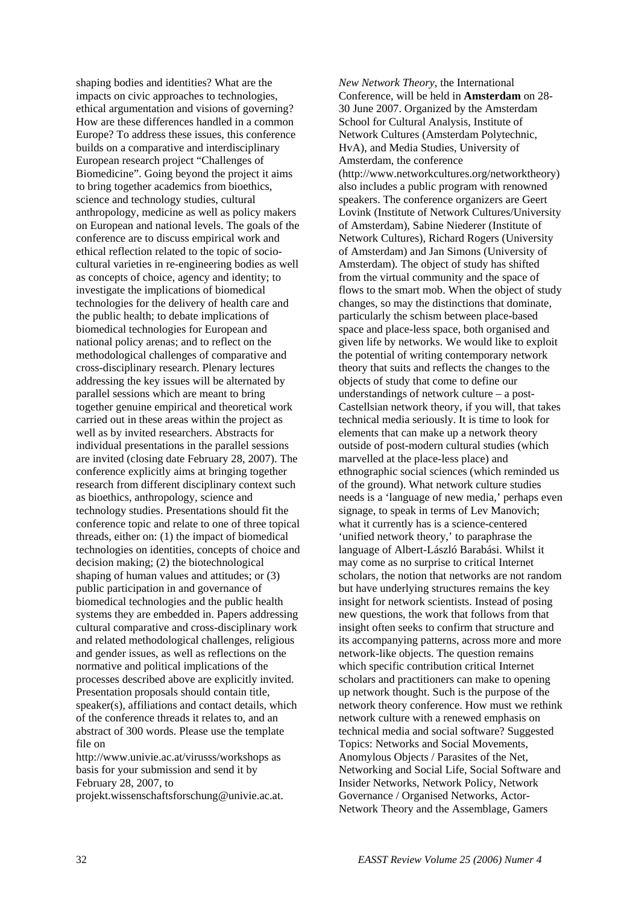shaping bodies and identities? What are the impacts on civic approaches to technologies, ethical argumentation and visions of governing? How are these differences handled in a common Europe? To address these issues, this conference builds on a comparative and interdisciplinary European research project "Challenges of Biomedicine". Going beyond the project it aims to bring together academics from bioethics, science and technology studies, cultural anthropology, medicine as well as policy makers on European and national levels. The goals of the conference are to discuss empirical work and ethical reflection related to the topic of sociocultural varieties in re-engineering bodies as well as concepts of choice, agency and identity; to investigate the implications of biomedical technologies for the delivery of health care and the public health; to debate implications of biomedical technologies for European and national policy arenas; and to reflect on the methodological challenges of comparative and cross-disciplinary research. Plenary lectures addressing the key issues will be alternated by parallel sessions which are meant to bring together genuine empirical and theoretical work carried out in these areas within the project as well as by invited researchers. Abstracts for individual presentations in the parallel sessions are invited (closing date February 28, 2007). The conference explicitly aims at bringing together research from different disciplinary context such as bioethics, anthropology, science and technology studies. Presentations should fit the conference topic and relate to one of three topical threads, either on: (1) the impact of biomedical technologies on identities, concepts of choice and decision making; (2) the biotechnological shaping of human values and attitudes; or (3) public participation in and governance of biomedical technologies and the public health systems they are embedded in. Papers addressing cultural comparative and cross-disciplinary work and related methodological challenges, religious and gender issues, as well as reflections on the normative and political implications of the processes described above are explicitly invited. Presentation proposals should contain title, speaker(s), affiliations and contact details, which of the conference threads it relates to, and an abstract of 300 words. Please use the template file on

http://www.univie.ac.at/virusss/workshops as basis for your submission and send it by February 28, 2007, to

projekt.wissenschaftsforschung@univie.ac.at.

*New Network Theory*, the International Conference, will be held in **Amsterdam** on 28- 30 June 2007. Organized by the Amsterdam School for Cultural Analysis, Institute of Network Cultures (Amsterdam Polytechnic, HvA), and Media Studies, University of Amsterdam, the conference (http://www.networkcultures.org/networktheory) also includes a public program with renowned speakers. The conference organizers are Geert Lovink (Institute of Network Cultures/University of Amsterdam), Sabine Niederer (Institute of Network Cultures), Richard Rogers (University of Amsterdam) and Jan Simons (University of Amsterdam). The object of study has shifted from the virtual community and the space of flows to the smart mob. When the object of study changes, so may the distinctions that dominate, particularly the schism between place-based space and place-less space, both organised and given life by networks. We would like to exploit the potential of writing contemporary network theory that suits and reflects the changes to the objects of study that come to define our understandings of network culture – a post-Castellsian network theory, if you will, that takes technical media seriously. It is time to look for elements that can make up a network theory outside of post-modern cultural studies (which marvelled at the place-less place) and ethnographic social sciences (which reminded us of the ground). What network culture studies needs is a 'language of new media,' perhaps even signage, to speak in terms of Lev Manovich; what it currently has is a science-centered 'unified network theory,' to paraphrase the language of Albert-László Barabási. Whilst it may come as no surprise to critical Internet scholars, the notion that networks are not random but have underlying structures remains the key insight for network scientists. Instead of posing new questions, the work that follows from that insight often seeks to confirm that structure and its accompanying patterns, across more and more network-like objects. The question remains which specific contribution critical Internet scholars and practitioners can make to opening up network thought. Such is the purpose of the network theory conference. How must we rethink network culture with a renewed emphasis on technical media and social software? Suggested Topics: Networks and Social Movements, Anomylous Objects / Parasites of the Net, Networking and Social Life, Social Software and Insider Networks, Network Policy, Network Governance / Organised Networks, Actor-Network Theory and the Assemblage, Gamers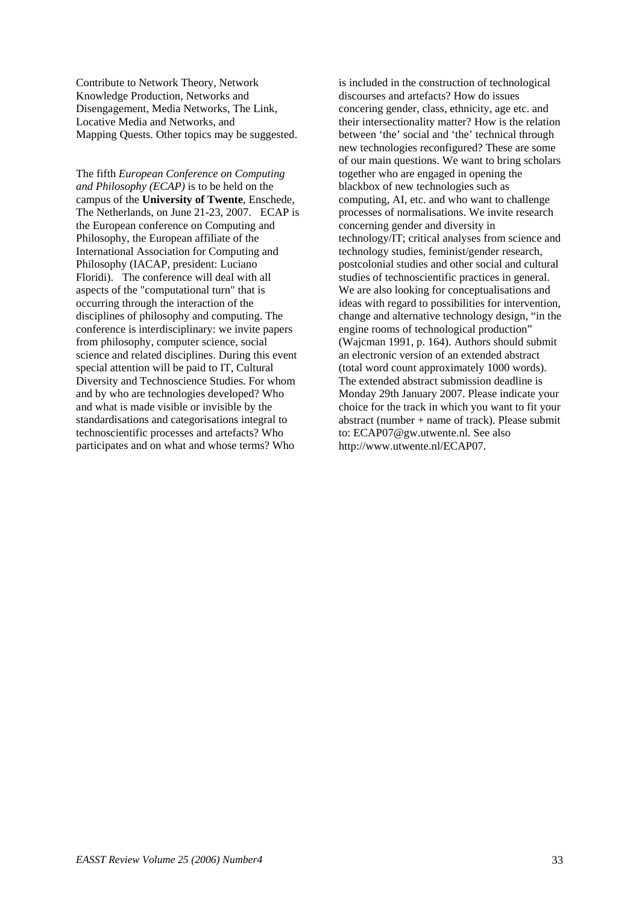Contribute to Network Theory, Network Knowledge Production, Networks and Disengagement, Media Networks, The Link, Locative Media and Networks, and Mapping Quests. Other topics may be suggested.

The fifth *European Conference on Computing and Philosophy (ECAP)* is to be held on the campus of the **University of Twente**, Enschede, The Netherlands, on June 21-23, 2007. ECAP is the European conference on Computing and Philosophy, the European affiliate of the International Association for Computing and Philosophy (IACAP, president: Luciano Floridi). The conference will deal with all aspects of the "computational turn" that is occurring through the interaction of the disciplines of philosophy and computing. The conference is interdisciplinary: we invite papers from philosophy, computer science, social science and related disciplines. During this event special attention will be paid to IT, Cultural Diversity and Technoscience Studies. For whom and by who are technologies developed? Who and what is made visible or invisible by the standardisations and categorisations integral to technoscientific processes and artefacts? Who participates and on what and whose terms? Who

is included in the construction of technological discourses and artefacts? How do issues concering gender, class, ethnicity, age etc. and their intersectionality matter? How is the relation between 'the' social and 'the' technical through new technologies reconfigured? These are some of our main questions. We want to bring scholars together who are engaged in opening the blackbox of new technologies such as computing, AI, etc. and who want to challenge processes of normalisations. We invite research concerning gender and diversity in technology/IT; critical analyses from science and technology studies, feminist/gender research, postcolonial studies and other social and cultural studies of technoscientific practices in general. We are also looking for conceptualisations and ideas with regard to possibilities for intervention, change and alternative technology design, "in the engine rooms of technological production" (Wajcman 1991, p. 164). Authors should submit an electronic version of an extended abstract (total word count approximately 1000 words). The extended abstract submission deadline is Monday 29th January 2007. Please indicate your choice for the track in which you want to fit your abstract (number  $+$  name of track). Please submit to: ECAP07@gw.utwente.nl. See also http://www.utwente.nl/ECAP07.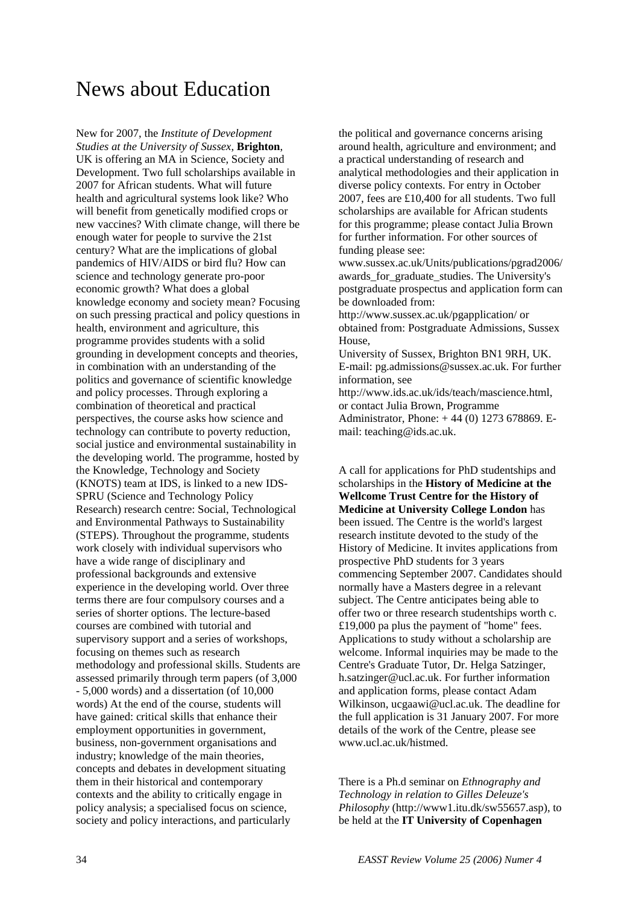## News about Education

New for 2007, the *Institute of Development Studies at the University of Sussex*, **Brighton**, UK is offering an MA in Science, Society and Development. Two full scholarships available in 2007 for African students. What will future health and agricultural systems look like? Who will benefit from genetically modified crops or new vaccines? With climate change, will there be enough water for people to survive the 21st century? What are the implications of global pandemics of HIV/AIDS or bird flu? How can science and technology generate pro-poor economic growth? What does a global knowledge economy and society mean? Focusing on such pressing practical and policy questions in health, environment and agriculture, this programme provides students with a solid grounding in development concepts and theories, in combination with an understanding of the politics and governance of scientific knowledge and policy processes. Through exploring a combination of theoretical and practical perspectives, the course asks how science and technology can contribute to poverty reduction, social justice and environmental sustainability in the developing world. The programme, hosted by the Knowledge, Technology and Society (KNOTS) team at IDS, is linked to a new IDS-SPRU (Science and Technology Policy Research) research centre: Social, Technological and Environmental Pathways to Sustainability (STEPS). Throughout the programme, students work closely with individual supervisors who have a wide range of disciplinary and professional backgrounds and extensive experience in the developing world. Over three terms there are four compulsory courses and a series of shorter options. The lecture-based courses are combined with tutorial and supervisory support and a series of workshops, focusing on themes such as research methodology and professional skills. Students are assessed primarily through term papers (of 3,000 - 5,000 words) and a dissertation (of 10,000 words) At the end of the course, students will have gained: critical skills that enhance their employment opportunities in government, business, non-government organisations and industry; knowledge of the main theories, concepts and debates in development situating them in their historical and contemporary contexts and the ability to critically engage in policy analysis; a specialised focus on science, society and policy interactions, and particularly

the political and governance concerns arising around health, agriculture and environment; and a practical understanding of research and analytical methodologies and their application in diverse policy contexts. For entry in October 2007, fees are £10,400 for all students. Two full scholarships are available for African students for this programme; please contact Julia Brown for further information. For other sources of funding please see:

www.sussex.ac.uk/Units/publications/pgrad2006/ awards\_for\_graduate\_studies. The University's postgraduate prospectus and application form can be downloaded from:

http://www.sussex.ac.uk/pgapplication/ or obtained from: Postgraduate Admissions, Sussex House,

University of Sussex, Brighton BN1 9RH, UK. E-mail: pg.admissions@sussex.ac.uk. For further information, see

http://www.ids.ac.uk/ids/teach/mascience.html, or contact Julia Brown, Programme Administrator, Phone: + 44 (0) 1273 678869. E-

mail: teaching@ids.ac.uk.

A call for applications for PhD studentships and scholarships in the **History of Medicine at the Wellcome Trust Centre for the History of Medicine at University College London** has been issued. The Centre is the world's largest research institute devoted to the study of the History of Medicine. It invites applications from prospective PhD students for 3 years commencing September 2007. Candidates should normally have a Masters degree in a relevant subject. The Centre anticipates being able to offer two or three research studentships worth c. £19,000 pa plus the payment of "home" fees. Applications to study without a scholarship are welcome. Informal inquiries may be made to the Centre's Graduate Tutor, Dr. Helga Satzinger, h.satzinger@ucl.ac.uk. For further information and application forms, please contact Adam Wilkinson, ucgaawi@ucl.ac.uk. The deadline for the full application is 31 January 2007. For more details of the work of the Centre, please see www.ucl.ac.uk/histmed.

There is a Ph.d seminar on *Ethnography and Technology in relation to Gilles Deleuze's Philosophy* (http://www1.itu.dk/sw55657.asp), to be held at the **IT University of Copenhagen**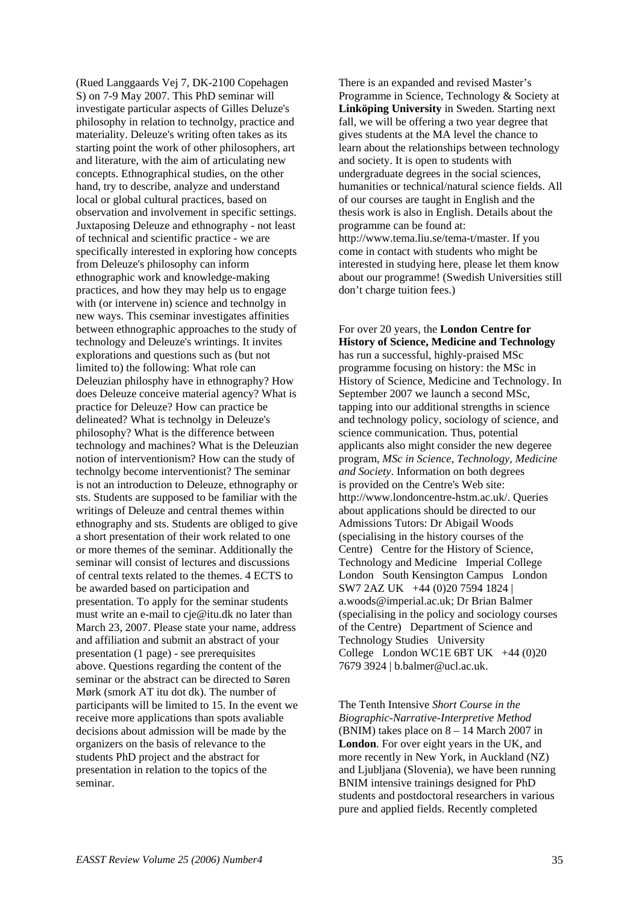(Rued Langgaards Vej 7, DK-2100 Copehagen S) on 7-9 May 2007. This PhD seminar will investigate particular aspects of Gilles Deluze's philosophy in relation to technolgy, practice and materiality. Deleuze's writing often takes as its starting point the work of other philosophers, art and literature, with the aim of articulating new concepts. Ethnographical studies, on the other hand, try to describe, analyze and understand local or global cultural practices, based on observation and involvement in specific settings. Juxtaposing Deleuze and ethnography - not least of technical and scientific practice - we are specifically interested in exploring how concepts from Deleuze's philosophy can inform ethnographic work and knowledge-making practices, and how they may help us to engage with (or intervene in) science and technolgy in new ways. This cseminar investigates affinities between ethnographic approaches to the study of technology and Deleuze's wrintings. It invites explorations and questions such as (but not limited to) the following: What role can Deleuzian philosphy have in ethnography? How does Deleuze conceive material agency? What is practice for Deleuze? How can practice be delineated? What is technolgy in Deleuze's philosophy? What is the difference between technology and machines? What is the Deleuzian notion of interventionism? How can the study of technolgy become interventionist? The seminar is not an introduction to Deleuze, ethnography or sts. Students are supposed to be familiar with the writings of Deleuze and central themes within ethnography and sts. Students are obliged to give a short presentation of their work related to one or more themes of the seminar. Additionally the seminar will consist of lectures and discussions of central texts related to the themes. 4 ECTS to be awarded based on participation and presentation. To apply for the seminar students must write an e-mail to cje@itu.dk no later than March 23, 2007. Please state your name, address and affiliation and submit an abstract of your presentation (1 page) - see prerequisites above. Questions regarding the content of the seminar or the abstract can be directed to Søren Mørk (smork AT itu dot dk). The number of participants will be limited to 15. In the event we receive more applications than spots avaliable decisions about admission will be made by the organizers on the basis of relevance to the students PhD project and the abstract for presentation in relation to the topics of the seminar.

There is an expanded and revised Master's Programme in Science, Technology & Society at **Linköping University** in Sweden. Starting next fall, we will be offering a two year degree that gives students at the MA level the chance to learn about the relationships between technology and society. It is open to students with undergraduate degrees in the social sciences, humanities or technical/natural science fields. All of our courses are taught in English and the thesis work is also in English. Details about the programme can be found at: http://www.tema.liu.se/tema-t/master. If you come in contact with students who might be interested in studying here, please let them know about our programme! (Swedish Universities still don't charge tuition fees.)

For over 20 years, the **London Centre for History of Science, Medicine and Technology** has run a successful, highly-praised MSc programme focusing on history: the MSc in History of Science, Medicine and Technology. In September 2007 we launch a second MSc, tapping into our additional strengths in science and technology policy, sociology of science, and science communication. Thus, potential applicants also might consider the new degeree program, *MSc in Science, Technology, Medicine and Society*. Information on both degrees is provided on the Centre's Web site: http://www.londoncentre-hstm.ac.uk/. Queries about applications should be directed to our Admissions Tutors: [Dr Abigail Woods](mailto:a.woods@imperial.ac.uk)  (specialising in the history courses of the Centre) Centre for the History of Science, Technology and Medicine Imperial College London South Kensington Campus London SW7 2AZ UK+44 (0)20 7594 1824 | a.woods@imperial.ac.uk; [Dr Brian Balmer](mailto:b.balmer@ucl.ac.uk) (specialising in the policy and sociology courses of the Centre) Department of Science and Technology Studies University College London WC1E  $6BT UK +44 (0)20$ 7679 3924 | b.balmer@ucl.ac.uk.

The Tenth Intensive *Short Course in the Biographic-Narrative-Interpretive Method*  (BNIM) takes place on 8 – 14 March 2007 in **London**. For over eight years in the UK, and more recently in New York, in Auckland (NZ) and Ljubljana (Slovenia), we have been running BNIM intensive trainings designed for PhD students and postdoctoral researchers in various pure and applied fields. Recently completed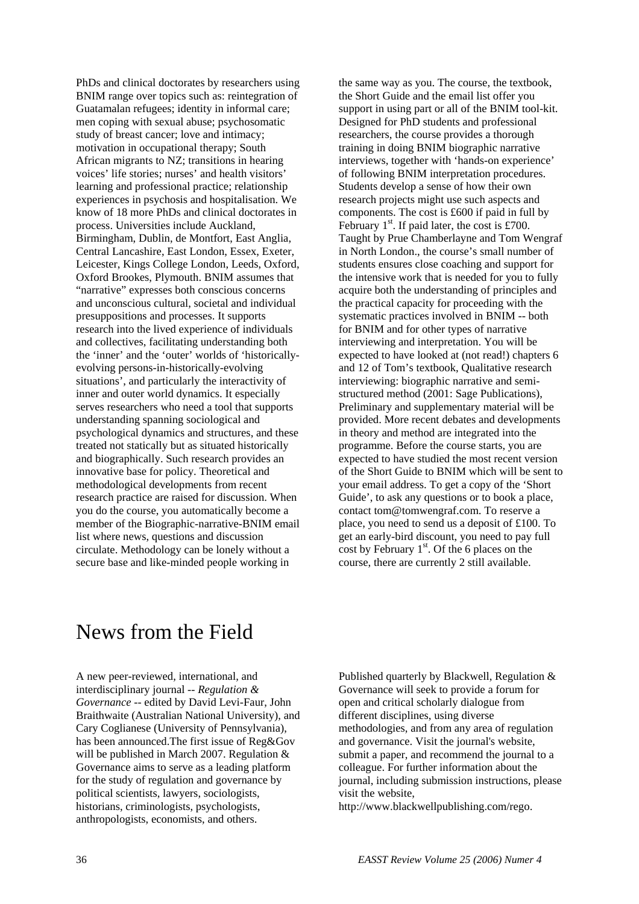PhDs and clinical doctorates by researchers using BNIM range over topics such as: reintegration of Guatamalan refugees; identity in informal care; men coping with sexual abuse; psychosomatic study of breast cancer; love and intimacy; motivation in occupational therapy; South African migrants to NZ; transitions in hearing voices' life stories; nurses' and health visitors' learning and professional practice; relationship experiences in psychosis and hospitalisation. We know of 18 more PhDs and clinical doctorates in process. Universities include Auckland, Birmingham, Dublin, de Montfort, East Anglia, Central Lancashire, East London, Essex, Exeter, Leicester, Kings College London, Leeds, Oxford, Oxford Brookes, Plymouth. BNIM assumes that "narrative" expresses both conscious concerns and unconscious cultural, societal and individual presuppositions and processes. It supports research into the lived experience of individuals and collectives, facilitating understanding both the 'inner' and the 'outer' worlds of 'historicallyevolving persons-in-historically-evolving situations', and particularly the interactivity of inner and outer world dynamics. It especially serves researchers who need a tool that supports understanding spanning sociological and psychological dynamics and structures, and these treated not statically but as situated historically and biographically. Such research provides an innovative base for policy. Theoretical and methodological developments from recent research practice are raised for discussion. When you do the course, you automatically become a member of the Biographic-narrative-BNIM email list where news, questions and discussion circulate. Methodology can be lonely without a secure base and like-minded people working in

the same way as you. The course, the textbook, the Short Guide and the email list offer you support in using part or all of the BNIM tool-kit. Designed for PhD students and professional researchers, the course provides a thorough training in doing BNIM biographic narrative interviews, together with 'hands-on experience' of following BNIM interpretation procedures. Students develop a sense of how their own research projects might use such aspects and components. The cost is £600 if paid in full by February  $1<sup>st</sup>$ . If paid later, the cost is £700. Taught by Prue Chamberlayne and Tom Wengraf in North London., the course's small number of students ensures close coaching and support for the intensive work that is needed for you to fully acquire both the understanding of principles and the practical capacity for proceeding with the systematic practices involved in BNIM -- both for BNIM and for other types of narrative interviewing and interpretation. You will be expected to have looked at (not read!) chapters 6 and 12 of Tom's textbook, Qualitative research interviewing: biographic narrative and semistructured method (2001: Sage Publications), Preliminary and supplementary material will be provided. More recent debates and developments in theory and method are integrated into the programme. Before the course starts, you are expected to have studied the most recent version of the Short Guide to BNIM which will be sent to your email address. To get a copy of the 'Short Guide', to ask any questions or to book a place, contact tom@tomwengraf.com. To reserve a place, you need to send us a deposit of £100. To get an early-bird discount, you need to pay full cost by February  $1<sup>st</sup>$ . Of the 6 places on the course, there are currently 2 still available.

## News from the Field

A new peer-reviewed, international, and interdisciplinary journal -- *Regulation & Governance* -- edited by David Levi-Faur, John Braithwaite (Australian National University), and Cary Coglianese (University of Pennsylvania), has been announced.The first issue of Reg&Gov will be published in March 2007. Regulation & Governance aims to serve as a leading platform for the study of regulation and governance by political scientists, lawyers, sociologists, historians, criminologists, psychologists, anthropologists, economists, and others.

Published quarterly by Blackwell, Regulation & Governance will seek to provide a forum for open and critical scholarly dialogue from different disciplines, using diverse methodologies, and from any area of regulation and governance. Visit the journal's website, submit a paper, and recommend the journal to a colleague. For further information about the journal, including submission instructions, please visit the website,

http://www.blackwellpublishing.com/rego.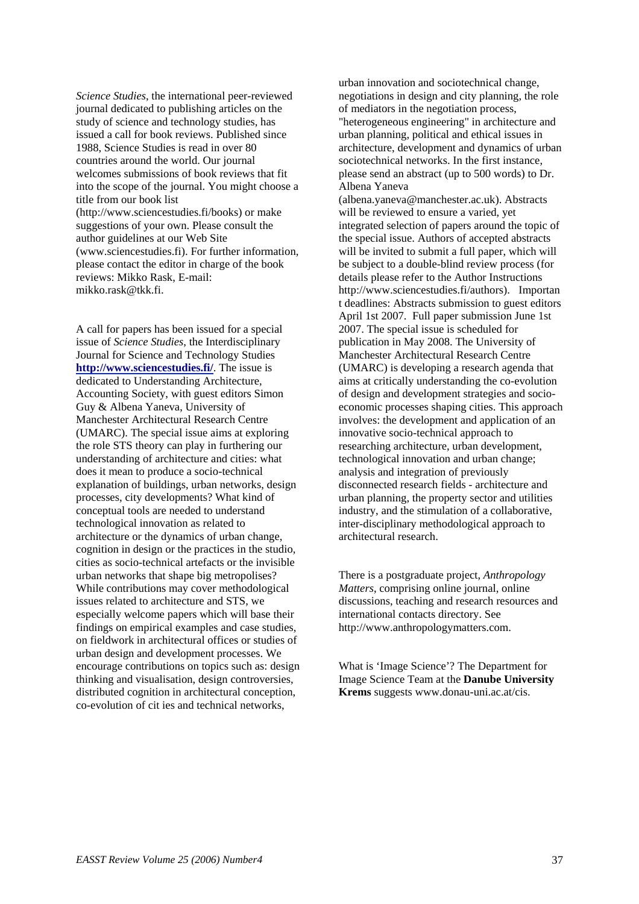*Science Studies*, the international peer-reviewed journal dedicated to publishing articles on the study of science and technology studies, has issued a call for book reviews. Published since 1988, Science Studies is read in over 80 countries around the world. Our journal welcomes submissions of book reviews that fit into the scope of the journal. You might choose a title from our book list (http://www.sciencestudies.fi/books) or make suggestions of your own. Please consult the author guidelines at our Web Site (www.sciencestudies.fi). For further information, please contact the editor in charge of the book reviews: Mikko Rask, E-mail: mikko.rask@tkk.fi.

A call for papers has been issued for a special issue of *Science Studies*, the Interdisciplinary Journal for Science and Technology Studies **<http://www.sciencestudies.fi/>**. The issue is dedicated to Understanding Architecture, Accounting Society, with guest editors Simon Guy & Albena Yaneva, University of Manchester Architectural Research Centre (UMARC). The special issue aims at exploring the role STS theory can play in furthering our understanding of architecture and cities: what does it mean to produce a socio-technical explanation of buildings, urban networks, design processes, city developments? What kind of conceptual tools are needed to understand technological innovation as related to architecture or the dynamics of urban change, cognition in design or the practices in the studio, cities as socio-technical artefacts or the invisible urban networks that shape big metropolises? While contributions may cover methodological issues related to architecture and STS, we especially welcome papers which will base their findings on empirical examples and case studies, on fieldwork in architectural offices or studies of urban design and development processes. We encourage contributions on topics such as: design thinking and visualisation, design controversies, distributed cognition in architectural conception, co-evolution of cit ies and technical networks,

urban innovation and sociotechnical change, negotiations in design and city planning, the role of mediators in the negotiation process, "heterogeneous engineering" in architecture and urban planning, political and ethical issues in architecture, development and dynamics of urban sociotechnical networks. In the first instance, please send an abstract (up to 500 words) to Dr. Albena Yaneva

(albena.yaneva@manchester.ac.uk). Abstracts will be reviewed to ensure a varied, yet integrated selection of papers around the topic of the special issue. Authors of accepted abstracts will be invited to submit a full paper, which will be subject to a double-blind review process (for details please refer to the Author Instructions http://www.sciencestudies.fi/authors). Importan t deadlines: Abstracts submission to guest editors April 1st 2007. Full paper submission June 1st 2007. The special issue is scheduled for publication in May 2008. The University of Manchester Architectural Research Centre (UMARC) is developing a research agenda that aims at critically understanding the co-evolution of design and development strategies and socioeconomic processes shaping cities. This approach involves: the development and application of an innovative socio-technical approach to researching architecture, urban development, technological innovation and urban change; analysis and integration of previously disconnected research fields - architecture and urban planning, the property sector and utilities industry, and the stimulation of a collaborative, inter-disciplinary methodological approach to architectural research.

There is a postgraduate project, *Anthropology Matters*, comprising online journal, online discussions, teaching and research resources and international contacts directory. See http://www.anthropologymatters.com.

What is 'Image Science'? The Department for Image Science Team at the **Danube University Krems** suggests www.donau-uni.ac.at/cis.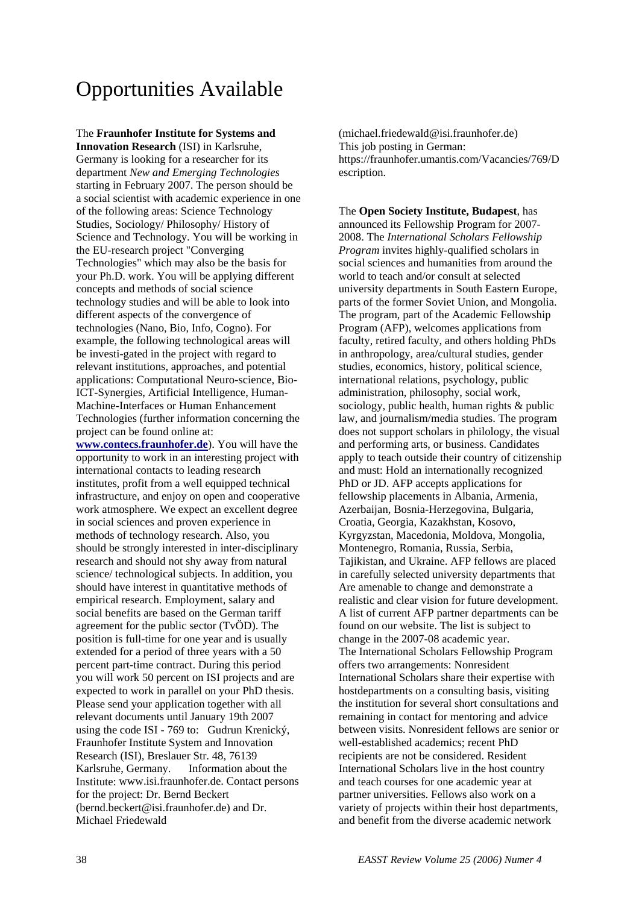# Opportunities Available

#### The **Fraunhofer Institute for Systems and**

**Innovation Research** (ISI) in Karlsruhe, Germany is looking for a researcher for its department *New and Emerging Technologies* starting in February 2007. The person should be a social scientist with academic experience in one of the following areas: Science Technology Studies, Sociology/ Philosophy/ History of Science and Technology. You will be working in the EU-research project "Converging Technologies" which may also be the basis for your Ph.D. work. You will be applying different concepts and methods of social science technology studies and will be able to look into different aspects of the convergence of technologies (Nano, Bio, Info, Cogno). For example, the following technological areas will be investi-gated in the project with regard to relevant institutions, approaches, and potential applications: Computational Neuro-science, Bio-ICT-Synergies, Artificial Intelligence, Human-Machine-Interfaces or Human Enhancement Technologies (further information concerning the project can be found online at:

**[www.contecs.fraunhofer.de](http://www.contecs.fraunhofer.de/)**). You will have the opportunity to work in an interesting project with international contacts to leading research institutes, profit from a well equipped technical infrastructure, and enjoy on open and cooperative work atmosphere. We expect an excellent degree in social sciences and proven experience in methods of technology research. Also, you should be strongly interested in inter-disciplinary research and should not shy away from natural science/ technological subjects. In addition, you should have interest in quantitative methods of empirical research. Employment, salary and social benefits are based on the German tariff agreement for the public sector (TvÖD). The position is full-time for one year and is usually extended for a period of three years with a 50 percent part-time contract. During this period you will work 50 percent on ISI projects and are expected to work in parallel on your PhD thesis. Please send your application together with all relevant documents until January 19th 2007 using the code ISI - 769 to: Gudrun Krenický, Fraunhofer Institute System and Innovation Research (ISI), Breslauer Str. 48, 76139 Karlsruhe, Germany. Information about the Institute: [www.isi.fraunhofer.de.](http://www.isi.fraunhofer.de/) Contact persons for the project: Dr. Bernd Beckert (bernd.beckert@isi.fraunhofer.de) and Dr. Michael Friedewald

(michael.friedewald@isi.fraunhofer.de) This job posting in German: https://fraunhofer.umantis.com/Vacancies/769/D escription.

The **Open Society Institute, Budapest**, has announced its Fellowship Program for 2007- 2008. The *International Scholars Fellowship Program* invites highly-qualified scholars in social sciences and humanities from around the world to teach and/or consult at selected university departments in South Eastern Europe, parts of the former Soviet Union, and Mongolia. The program, part of the Academic Fellowship Program (AFP), welcomes applications from faculty, retired faculty, and others holding PhDs in anthropology, area/cultural studies, gender studies, economics, history, political science, international relations, psychology, public administration, philosophy, social work, sociology, public health, human rights & public law, and journalism/media studies. The program does not support scholars in philology, the visual and performing arts, or business. Candidates apply to teach outside their country of citizenship and must: Hold an internationally recognized PhD or JD. AFP accepts applications for fellowship placements in Albania, Armenia, Azerbaijan, Bosnia-Herzegovina, Bulgaria, Croatia, Georgia, Kazakhstan, Kosovo, Kyrgyzstan, Macedonia, Moldova, Mongolia, Montenegro, Romania, Russia, Serbia, Tajikistan, and Ukraine. AFP fellows are placed in carefully selected university departments that Are amenable to change and demonstrate a realistic and clear vision for future development. A list of current AFP partner departments can be found on our website. The list is subject to change in the 2007-08 academic year. The International Scholars Fellowship Program offers two arrangements: Nonresident International Scholars share their expertise with hostdepartments on a consulting basis, visiting the institution for several short consultations and remaining in contact for mentoring and advice between visits. Nonresident fellows are senior or well-established academics; recent PhD recipients are not be considered. Resident International Scholars live in the host country and teach courses for one academic year at partner universities. Fellows also work on a variety of projects within their host departments, and benefit from the diverse academic network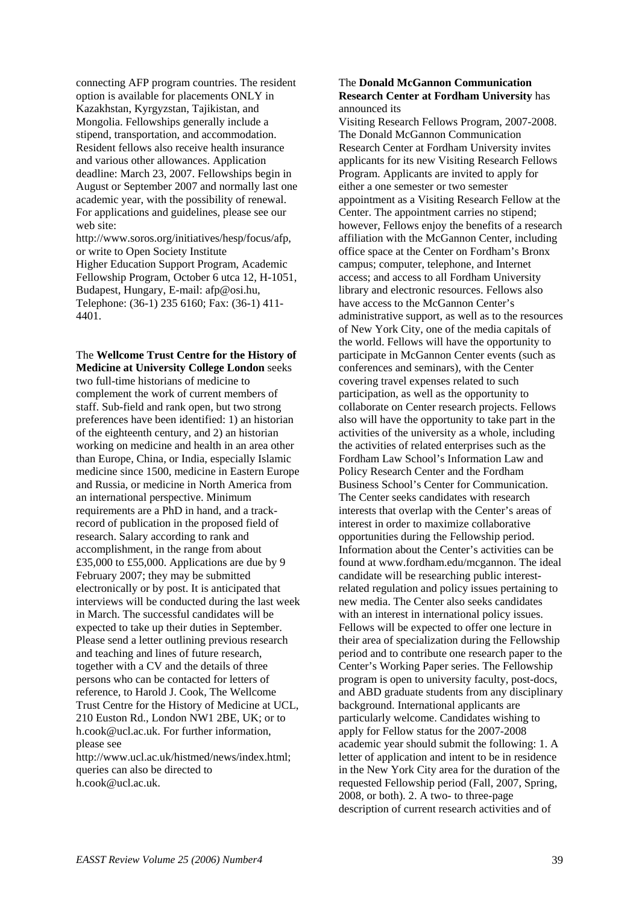connecting AFP program countries. The resident option is available for placements ONLY in Kazakhstan, Kyrgyzstan, Tajikistan, and Mongolia. Fellowships generally include a stipend, transportation, and accommodation. Resident fellows also receive health insurance and various other allowances. Application deadline: March 23, 2007. Fellowships begin in August or September 2007 and normally last one academic year, with the possibility of renewal. For applications and guidelines, please see our web site:

http://www.soros.org/initiatives/hesp/focus/afp, or write to Open Society Institute Higher Education Support Program, Academic Fellowship Program, October 6 utca 12, H-1051, Budapest, Hungary, E-mail: afp@osi.hu, Telephone: (36-1) 235 6160; Fax: (36-1) 411- 4401.

The **Wellcome Trust Centre for the History of Medicine at University College London** seeks

two full-time historians of medicine to complement the work of current members of staff. Sub-field and rank open, but two strong preferences have been identified: 1) an historian of the eighteenth century, and 2) an historian working on medicine and health in an area other than Europe, China, or India, especially Islamic medicine since 1500, medicine in Eastern Europe and Russia, or medicine in North America from an international perspective. Minimum requirements are a PhD in hand, and a trackrecord of publication in the proposed field of research. Salary according to rank and accomplishment, in the range from about £35,000 to £55,000. Applications are due by 9 February 2007; they may be submitted electronically or by post. It is anticipated that interviews will be conducted during the last week in March. The successful candidates will be expected to take up their duties in September. Please send a letter outlining previous research and teaching and lines of future research, together with a CV and the details of three persons who can be contacted for letters of reference, to Harold J. Cook, The Wellcome Trust Centre for the History of Medicine at UCL, 210 Euston Rd., London NW1 2BE, UK; or to h.cook@ucl.ac.uk. For further information, please see

http://www.ucl.ac.uk/histmed/news/index.html; queries can also be directed to h.cook@ucl.ac.uk.

#### The **Donald McGannon Communication Research Center at Fordham University** has announced its

Visiting Research Fellows Program, 2007-2008. The Donald McGannon Communication Research Center at Fordham University invites applicants for its new Visiting Research Fellows Program. Applicants are invited to apply for either a one semester or two semester appointment as a Visiting Research Fellow at the Center. The appointment carries no stipend; however, Fellows enjoy the benefits of a research affiliation with the McGannon Center, including office space at the Center on Fordham's Bronx campus; computer, telephone, and Internet access; and access to all Fordham University library and electronic resources. Fellows also have access to the McGannon Center's administrative support, as well as to the resources of New York City, one of the media capitals of the world. Fellows will have the opportunity to participate in McGannon Center events (such as conferences and seminars), with the Center covering travel expenses related to such participation, as well as the opportunity to collaborate on Center research projects. Fellows also will have the opportunity to take part in the activities of the university as a whole, including the activities of related enterprises such as the Fordham Law School's Information Law and Policy Research Center and the Fordham Business School's Center for Communication. The Center seeks candidates with research interests that overlap with the Center's areas of interest in order to maximize collaborative opportunities during the Fellowship period. Information about the Center's activities can be found at www.fordham.edu/mcgannon. The ideal candidate will be researching public interestrelated regulation and policy issues pertaining to new media. The Center also seeks candidates with an interest in international policy issues. Fellows will be expected to offer one lecture in their area of specialization during the Fellowship period and to contribute one research paper to the Center's Working Paper series. The Fellowship program is open to university faculty, post-docs, and ABD graduate students from any disciplinary background. International applicants are particularly welcome. Candidates wishing to apply for Fellow status for the 2007-2008 academic year should submit the following: 1. A letter of application and intent to be in residence in the New York City area for the duration of the requested Fellowship period (Fall, 2007, Spring, 2008, or both). 2. A two- to three-page description of current research activities and of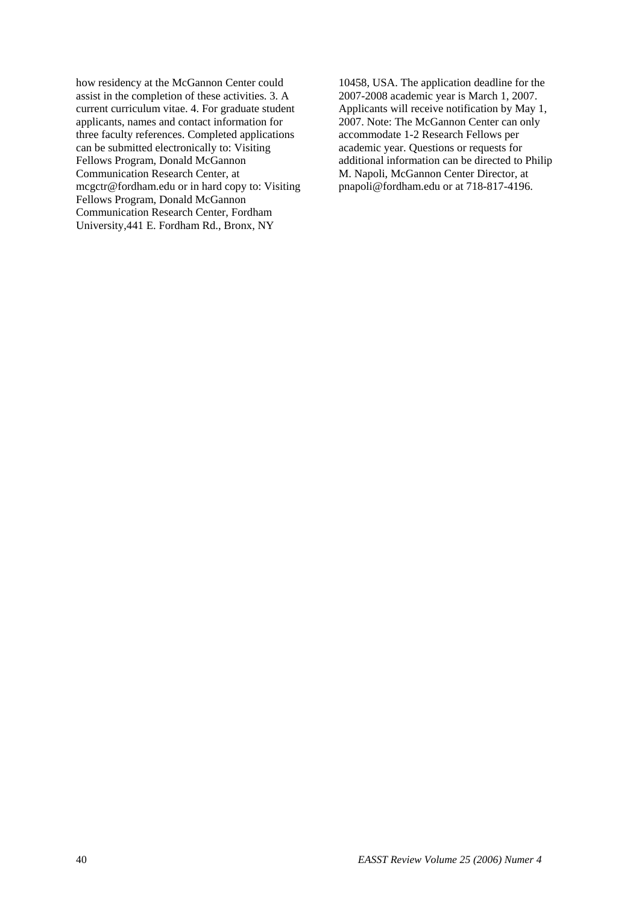how residency at the McGannon Center could assist in the completion of these activities. 3. A current curriculum vitae. 4. For graduate student applicants, names and contact information for three faculty references. Completed applications can be submitted electronically to: Visiting Fellows Program, Donald McGannon Communication Research Center, at mcgctr@fordham.edu or in hard copy to: Visiting Fellows Program, Donald McGannon Communication Research Center, Fordham University,441 E. Fordham Rd., Bronx, NY

10458, USA. The application deadline for the 2007-2008 academic year is March 1, 2007. Applicants will receive notification by May 1, 2007. Note: The McGannon Center can only accommodate 1-2 Research Fellows per academic year. Questions or requests for additional information can be directed to Philip M. Napoli, McGannon Center Director, at pnapoli@fordham.edu or at 718-817-4196.